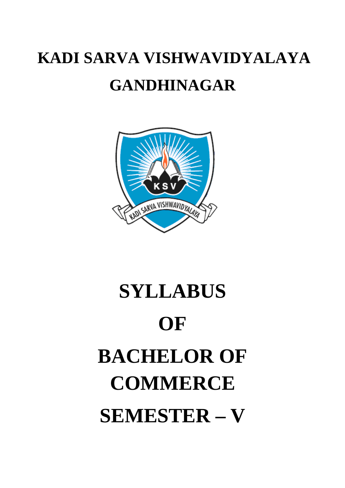# **KADI SARVA VISHWAVIDYALAYA GANDHINAGAR**



# **SYLLABUS OF BACHELOR OF COMMERCE SEMESTER – V**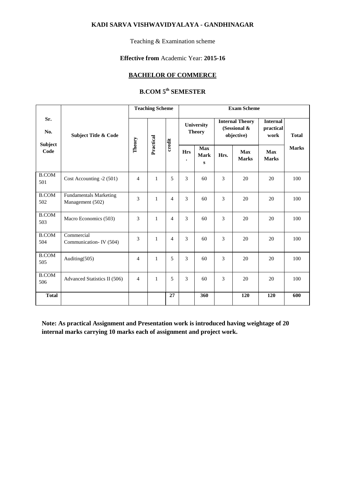#### **KADI SARVA VISHWAVIDYALAYA - GANDHINAGAR**

Teaching & Examination scheme

#### **Effective from** Academic Year: **2015-16**

#### **BACHELOR OF COMMERCE**

## **B.COM 5th SEMESTER**

|                        |                                                   | <b>Teaching Scheme</b> |                       |                | <b>Exam Scheme</b>      |                                |      |                                                      |                                      |              |
|------------------------|---------------------------------------------------|------------------------|-----------------------|----------------|-------------------------|--------------------------------|------|------------------------------------------------------|--------------------------------------|--------------|
| Sr.<br>No.             | <b>Subject Title &amp; Code</b>                   |                        |                       |                |                         | University<br><b>Theory</b>    |      | <b>Internal Theory</b><br>(Sessional &<br>objective) | <b>Internal</b><br>practical<br>work | <b>Total</b> |
| <b>Subject</b><br>Code |                                                   | Theory                 | Practical<br>$credit$ |                | <b>Hrs</b><br>$\bullet$ | <b>Max</b><br>Mark<br>$\bf{s}$ | Hrs. | <b>Max</b><br><b>Marks</b>                           | <b>Max</b><br><b>Marks</b>           | <b>Marks</b> |
| <b>B.COM</b><br>501    | Cost Accounting -2 (501)                          | $\overline{4}$         | 1                     | 5              | 3                       | 60                             | 3    | 20                                                   | 20                                   | 100          |
| <b>B.COM</b><br>502    | <b>Fundamentals Marketing</b><br>Management (502) | 3                      | $\mathbf{1}$          | $\overline{4}$ | 3                       | 60                             | 3    | 20                                                   | 20                                   | 100          |
| <b>B.COM</b><br>503    | Macro Economics (503)                             | 3                      | $\mathbf{1}$          | $\overline{4}$ | 3                       | 60                             | 3    | 20                                                   | 20                                   | 100          |
| <b>B.COM</b><br>504    | Commercial<br>Communication-IV (504)              | 3                      | 1                     | $\overline{4}$ | 3                       | 60                             | 3    | 20                                                   | 20                                   | 100          |
| <b>B.COM</b><br>505    | Auditing(505)                                     | 4                      | 1                     | 5              | 3                       | 60                             | 3    | 20                                                   | 20                                   | 100          |
| <b>B.COM</b><br>506    | Advanced Statistics II (506)                      | $\overline{4}$         | $\mathbf{1}$          | 5              | 3                       | 60                             | 3    | 20                                                   | 20                                   | 100          |
| <b>Total</b>           |                                                   |                        |                       | 27             |                         | 360                            |      | 120                                                  | 120                                  | 600          |

**Note: As practical Assignment and Presentation work is introduced having weightage of 20 internal marks carrying 10 marks each of assignment and project work.**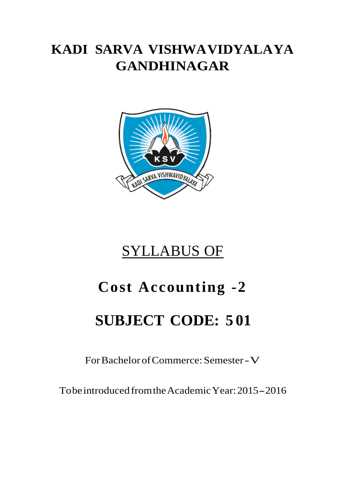# **KADI SARVA VISHWAVIDYALAYA GANDHINAGAR**



# SYLLABUS OF

# **Cost Accounting -2**

# **SUBJECT CODE: 5 01**

For Bachelor of Commerce: Semester -V

To be introduced from the Academic Year: 2015 - 2016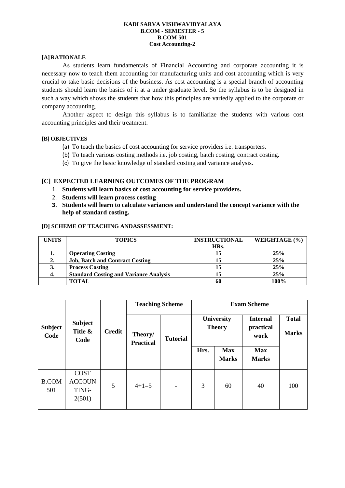#### **KADI SARVA VISHWAVIDYALAYA B.COM - SEMESTER - 5 B.COM 501 Cost Accounting-2**

#### **[A] RATIONALE**

As students learn fundamentals of Financial Accounting and corporate accounting it is necessary now to teach them accounting for manufacturing units and cost accounting which is very crucial to take basic decisions of the business. As cost accounting is a special branch of accounting students should learn the basics of it at a under graduate level. So the syllabus is to be designed in such a way which shows the students that how this principles are variedly applied to the corporate or company accounting.

Another aspect to design this syllabus is to familiarize the students with various cost accounting principles and their treatment.

#### **[B] OBJECTIVES**

- (a) To teach the basics of cost accounting for service providers i.e. transporters.
- (b) To teach various costing methods i.e. job costing, batch costing, contract costing.
- (c) To give the basic knowledge of standard costing and variance analysis.

#### **[C] EXPECTED LEARNING OUTCOMES OF THE PROGRAM**

- 1. **Students will learn basics of cost accounting for service providers.**
- 2. **Students will learn process costing**
- 3. **Students will learn to calculate variances and understand the concept variance with the help of standard costing.**

#### **[D] SCHEME OF TEACHING ANDASSESSMENT:**

| UNITS | <b>TOPICS</b>                                 | <b>INSTRUCTIONAL</b> | WEIGHTAGE (%) |
|-------|-----------------------------------------------|----------------------|---------------|
|       |                                               | HRs.                 |               |
|       | <b>Operating Costing</b>                      | 15                   | 25%           |
| 2.    | <b>Job, Batch and Contract Costing</b>        |                      | 25%           |
| J.    | <b>Process Costing</b>                        |                      | 25%           |
|       | <b>Standard Costing and Variance Analysis</b> | 15                   | 25%           |
|       | <b>TOTAL</b>                                  | 60                   | 100%          |

|                        | <b>Subject</b><br>Title &<br>Code               | <b>Credit</b> | <b>Teaching Scheme</b>      |                              | <b>Exam Scheme</b>                 |                            |                                      |                              |
|------------------------|-------------------------------------------------|---------------|-----------------------------|------------------------------|------------------------------------|----------------------------|--------------------------------------|------------------------------|
| <b>Subject</b><br>Code |                                                 |               | Theory/<br><b>Practical</b> | <b>Tutorial</b>              | <b>University</b><br><b>Theory</b> |                            | <b>Internal</b><br>practical<br>work | <b>Total</b><br><b>Marks</b> |
|                        |                                                 |               |                             |                              | Hrs.                               | <b>Max</b><br><b>Marks</b> | <b>Max</b><br><b>Marks</b>           |                              |
| <b>B.COM</b><br>501    | <b>COST</b><br><b>ACCOUN</b><br>TING-<br>2(501) | 5             | $4+1=5$                     | $\qquad \qquad \blacksquare$ | 3                                  | 60                         | 40                                   | 100                          |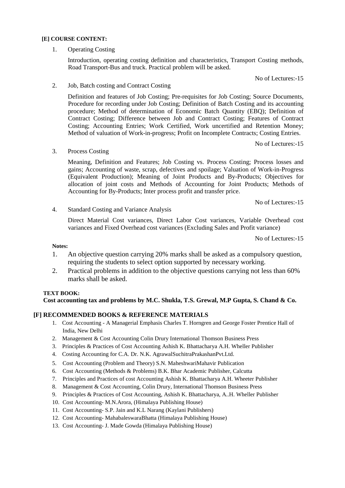#### **[E] COURSE CONTENT:**

1. Operating Costing

 Introduction, operating costing definition and characteristics, Transport Costing methods, Road Transport-Bus and truck. Practical problem will be asked.

No of Lectures:-15

2. Job, Batch costing and Contract Costing

 Definition and features of Job Costing; Pre-requisites for Job Costing; Source Documents, Procedure for recording under Job Costing; Definition of Batch Costing and its accounting procedure; Method of determination of Economic Batch Quantity (EBQ); Definition of Contract Costing; Difference between Job and Contract Costing; Features of Contract Costing; Accounting Entries; Work Certified, Work uncertified and Retention Money; Method of valuation of Work-in-progress; Profit on Incomplete Contracts; Costing Entries.

No of Lectures:-15

3. Process Costing

 Meaning, Definition and Features; Job Costing vs. Process Costing; Process losses and gains; Accounting of waste, scrap, defectives and spoilage; Valuation of Work-in-Progress (Equivalent Production); Meaning of Joint Products and By-Products; Objectives for allocation of joint costs and Methods of Accounting for Joint Products; Methods of Accounting for By-Products; Inter process profit and transfer price.

No of Lectures:-15

4. Standard Costing and Variance Analysis

 Direct Material Cost variances, Direct Labor Cost variances, Variable Overhead cost variances and Fixed Overhead cost variances (Excluding Sales and Profit variance)

No of Lectures:-15

#### **Notes:**

- 1. An objective question carrying 20% marks shall be asked as a compulsory question, requiring the students to select option supported by necessary working.
- 2. Practical problems in addition to the objective questions carrying not less than 60% marks shall be asked.

#### **TEXT BOOK:**

#### **Cost accounting tax and problems by M.C. Shukla, T.S. Grewal, M.P Gupta, S. Chand & Co.**

#### **[F] RECOMMENDED BOOKS & REFERENCE MATERIALS**

- 1. Cost Accounting A Managerial Emphasis Charles T. Horngren and George Foster Prentice Hall of India, New Delhi
- 2. Management & Cost Accounting Colin Drury International Thomson Business Press
- 3. Principles & Practices of Cost Accounting Ashish K. Bhattacharya A.H. Wheller Publisher
- 4. Costing Accounting for C.A. Dr. N.K. AgrawalSuchitraPrakashanPvt.Ltd.
- 5. Cost Accounting (Problem and Theory) S.N. MaheshwariMahavir Publication
- 6. Cost Accounting (Methods & Problems) B.K. Bhar Academic Publisher, Calcutta
- 7. Principles and Practices of cost Accounting Ashish K. Bhattacharya A.H. Wheeter Publisher
- 8. Management & Cost Accounting, Colin Drury, International Thomson Business Press
- 9. Principles & Practices of Cost Accounting, Ashish K. Bhattacharya, A..H. Wheller Publisher
- 10. Cost Accounting- M.N.Arora, (Himalaya Publishing House)
- 11. Cost Accounting- S.P. Jain and K.L Narang (Kaylani Publishers)
- 12. Cost Accounting- MahabaleswaraBhatta (Himalaya Publishing House)
- 13. Cost Accounting- J. Made Gowda (Himalaya Publishing House)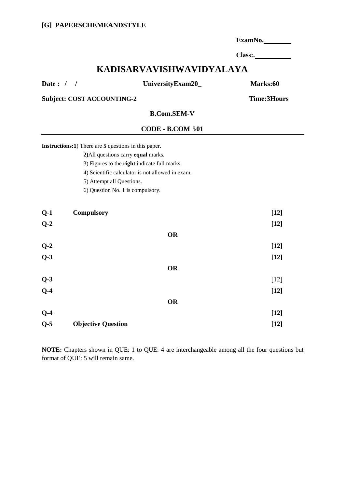|                          |                                                      |                                                  | ExamNo.  |  |  |  |  |  |
|--------------------------|------------------------------------------------------|--------------------------------------------------|----------|--|--|--|--|--|
|                          |                                                      |                                                  |          |  |  |  |  |  |
| KADISARVAVISHWAVIDYALAYA |                                                      |                                                  |          |  |  |  |  |  |
| Date: $/$ /              |                                                      | UniversityExam20_                                | Marks:60 |  |  |  |  |  |
|                          | <b>Subject: COST ACCOUNTING-2</b>                    | <b>Time:3Hours</b>                               |          |  |  |  |  |  |
|                          |                                                      | <b>B.Com.SEM-V</b>                               |          |  |  |  |  |  |
|                          |                                                      | <b>CODE - B.COM 501</b>                          |          |  |  |  |  |  |
|                          | Instructions:1) There are 5 questions in this paper. |                                                  |          |  |  |  |  |  |
|                          | 2) All questions carry equal marks.                  |                                                  |          |  |  |  |  |  |
|                          |                                                      | 3) Figures to the right indicate full marks.     |          |  |  |  |  |  |
|                          |                                                      | 4) Scientific calculator is not allowed in exam. |          |  |  |  |  |  |
|                          | 5) Attempt all Questions.                            |                                                  |          |  |  |  |  |  |
|                          | 6) Question No. 1 is compulsory.                     |                                                  |          |  |  |  |  |  |
| $Q-1$                    | <b>Compulsory</b>                                    |                                                  | $[12]$   |  |  |  |  |  |
| $Q-2$                    |                                                      |                                                  | $[12]$   |  |  |  |  |  |
|                          |                                                      | <b>OR</b>                                        |          |  |  |  |  |  |
| $Q-2$                    |                                                      |                                                  | $[12]$   |  |  |  |  |  |
| $Q-3$                    |                                                      |                                                  | $[12]$   |  |  |  |  |  |
|                          |                                                      | <b>OR</b>                                        |          |  |  |  |  |  |
| $Q-3$                    |                                                      |                                                  | $[12]$   |  |  |  |  |  |
| $Q-4$                    |                                                      |                                                  | $[12]$   |  |  |  |  |  |
|                          |                                                      |                                                  |          |  |  |  |  |  |
|                          |                                                      | <b>OR</b>                                        |          |  |  |  |  |  |
| $Q-4$                    |                                                      |                                                  | $[12]$   |  |  |  |  |  |
| $Q-5$                    | <b>Objective Question</b>                            |                                                  | $[12]$   |  |  |  |  |  |

**NOTE:** Chapters shown in QUE: 1 to QUE: 4 are interchangeable among all the four questions but format of QUE: 5 will remain same.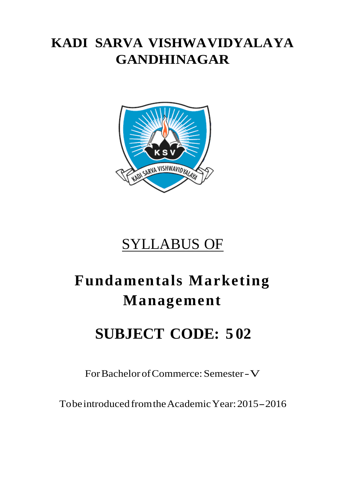# **KADI SARVA VISHWAVIDYALAYA GANDHINAGAR**



# SYLLABUS OF

# **Fundamentals Marketing Management**

# **SUBJECT CODE: 5 02**

For Bachelor of Commerce: Semester -V

To be introduced from the Academic Year: 2015 - 2016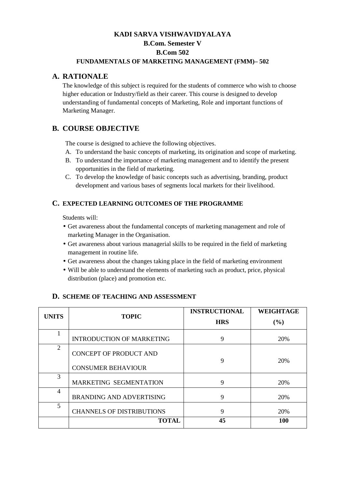### **KADI SARVA VISHWAVIDYALAYA B.Com. Semester V B.Com 502 FUNDAMENTALS OF MARKETING MANAGEMENT (FMM)– 502**

#### **A. RATIONALE**

The knowledge of this subject is required for the students of commerce who wish to choose higher education or Industry/field as their career. This course is designed to develop understanding of fundamental concepts of Marketing, Role and important functions of Marketing Manager.

## **B. COURSE OBJECTIVE**

The course is designed to achieve the following objectives.

- A. To understand the basic concepts of marketing, its origination and scope of marketing.
- B. To understand the importance of marketing management and to identify the present opportunities in the field of marketing.
- C. To develop the knowledge of basic concepts such as advertising, branding, product development and various bases of segments local markets for their livelihood.

#### **C. EXPECTED LEARNING OUTCOMES OF THE PROGRAMME**

Students will:

- Get awareness about the fundamental concepts of marketing management and role of marketing Manager in the Organisation.
- Get awareness about various managerial skills to be required in the field of marketing management in routine life.
- Get awareness about the changes taking place in the field of marketing environment
- Will be able to understand the elements of marketing such as product, price, physical distribution (place) and promotion etc.

#### **D. SCHEME OF TEACHING AND ASSESSMENT**

| <b>UNITS</b>   | <b>TOPIC</b>                     | <b>INSTRUCTIONAL</b> | <b>WEIGHTAGE</b> |  |
|----------------|----------------------------------|----------------------|------------------|--|
|                |                                  | <b>HRS</b>           | (%)              |  |
|                | <b>INTRODUCTION OF MARKETING</b> | 9                    | 20%              |  |
| $\overline{2}$ | <b>CONCEPT OF PRODUCT AND</b>    |                      |                  |  |
|                | <b>CONSUMER BEHAVIOUR</b>        | 9                    | 20%              |  |
| 3              | MARKETING SEGMENTATION           | 9                    | 20%              |  |
| $\overline{4}$ | <b>BRANDING AND ADVERTISING</b>  | 9                    | 20%              |  |
| 5              | <b>CHANNELS OF DISTRIBUTIONS</b> | 9                    | 20%              |  |
|                | <b>TOTAL</b>                     | 45                   | 100              |  |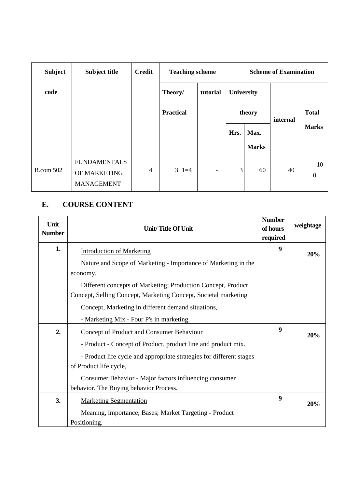| <b>Subject</b>   | <b>Subject title</b>                                     | <b>Credit</b> | <b>Teaching scheme</b> |                          | <b>Scheme of Examination</b> |              |          |                        |
|------------------|----------------------------------------------------------|---------------|------------------------|--------------------------|------------------------------|--------------|----------|------------------------|
| code             |                                                          |               | Theory/                | tutorial                 | University                   |              |          |                        |
|                  |                                                          |               | <b>Practical</b>       |                          | theory<br>Max.<br>Hrs.       |              | internal | <b>Total</b>           |
|                  |                                                          |               |                        |                          |                              |              |          | <b>Marks</b>           |
|                  |                                                          |               |                        |                          |                              | <b>Marks</b> |          |                        |
| <b>B.com 502</b> | <b>FUNDAMENTALS</b><br>OF MARKETING<br><b>MANAGEMENT</b> | 4             | $3+1=4$                | $\overline{\phantom{a}}$ | 3                            | 60           | 40       | 10<br>$\boldsymbol{0}$ |

## **E. COURSE CONTENT**

| Unit<br><b>Number</b> | Unit/Title Of Unit                                                                                                              | <b>Number</b><br>of hours<br>required | weightage |
|-----------------------|---------------------------------------------------------------------------------------------------------------------------------|---------------------------------------|-----------|
| 1.                    | <b>Introduction of Marketing</b>                                                                                                | 9                                     | 20%       |
|                       | Nature and Scope of Marketing - Importance of Marketing in the<br>economy.                                                      |                                       |           |
|                       | Different concepts of Marketing; Production Concept, Product<br>Concept, Selling Concept, Marketing Concept, Societal marketing |                                       |           |
|                       | Concept, Marketing in different demand situations,                                                                              |                                       |           |
|                       | - Marketing Mix - Four P's in marketing.                                                                                        |                                       |           |
| 2.                    | <b>Concept of Product and Consumer Behaviour</b>                                                                                | 9                                     | 20%       |
|                       | - Product - Concept of Product, product line and product mix.                                                                   |                                       |           |
|                       | - Product life cycle and appropriate strategies for different stages                                                            |                                       |           |
|                       | of Product life cycle,                                                                                                          |                                       |           |
|                       | Consumer Behavior - Major factors influencing consumer                                                                          |                                       |           |
|                       | behavior. The Buying behavior Process.                                                                                          |                                       |           |
| 3.                    | <b>Marketing Segmentation</b>                                                                                                   | $\boldsymbol{9}$                      | 20%       |
|                       | Meaning, importance; Bases; Market Targeting - Product                                                                          |                                       |           |
|                       | Positioning.                                                                                                                    |                                       |           |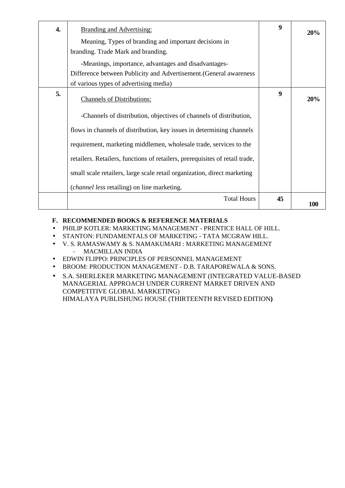| $\overline{4}$ . | <b>Branding and Advertising:</b>                                             | 9  | 20% |
|------------------|------------------------------------------------------------------------------|----|-----|
|                  | Meaning, Types of branding and important decisions in                        |    |     |
|                  | branding. Trade Mark and branding.                                           |    |     |
|                  | -Meanings, importance, advantages and disadvantages-                         |    |     |
|                  | Difference between Publicity and Advertisement. (General awareness           |    |     |
|                  | of various types of advertising media)                                       |    |     |
| 5.               | <b>Channels of Distributions:</b>                                            | 9  | 20% |
|                  | -Channels of distribution, objectives of channels of distribution,           |    |     |
|                  | flows in channels of distribution, key issues in determining channels        |    |     |
|                  | requirement, marketing middlemen, wholesale trade, services to the           |    |     |
|                  | retailers. Retailers, functions of retailers, prerequisites of retail trade, |    |     |
|                  | small scale retailers, large scale retail organization, direct marketing     |    |     |
|                  | ( <i>channel less</i> retailing) on line marketing.                          |    |     |
|                  | <b>Total Hours</b>                                                           | 45 | 100 |

#### **F. RECOMMENDED BOOKS & REFERENCE MATERIALS**

- PHILIP KOTLER: MARKETING MANAGEMENT PRENTICE HALL OF HILL.
- STANTON: FUNDAMENTALS OF MARKETING TATA MCGRAW HILL.
- V. S. RAMASWAMY & S. NAMAKUMARI : MARKETING MANAGEMENT - MACMILLAN INDIA
- EDWIN FLIPPO: PRINCIPLES OF PERSONNEL MANAGEMENT
- BROOM: PRODUCTION MANAGEMENT D.B. TARAPOREWALA & SONS.
- S.A. SHERLEKER MARKETING MANAGEMENT (INTEGRATED VALUE-BASED MANAGERIAL APPROACH UNDER CURRENT MARKET DRIVEN AND COMPETITIVE GLOBAL MARKETING) HIMALAYA PUBLISHUNG HOUSE (THIRTEENTH REVISED EDITION**)**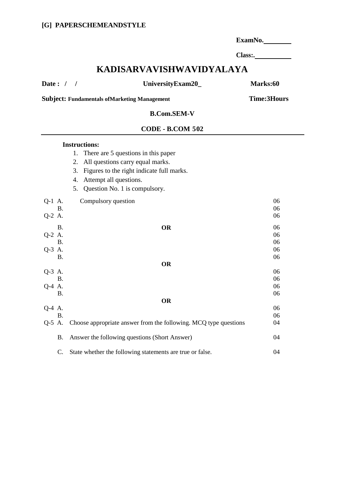|                                                      |                                                                  | ExamNo.  |  |  |  |
|------------------------------------------------------|------------------------------------------------------------------|----------|--|--|--|
|                                                      |                                                                  |          |  |  |  |
|                                                      | KADISARVAVISHWAVIDYALAYA                                         |          |  |  |  |
| Date: $/$ /                                          | UniversityExam20_                                                | Marks:60 |  |  |  |
| <b>Subject: Fundamentals of Marketing Management</b> | <b>Time:3Hours</b>                                               |          |  |  |  |
|                                                      | <b>B.Com.SEM-V</b>                                               |          |  |  |  |
|                                                      | <b>CODE - B.COM 502</b>                                          |          |  |  |  |
|                                                      | <b>Instructions:</b>                                             |          |  |  |  |
|                                                      | 1. There are 5 questions in this paper                           |          |  |  |  |
|                                                      | 2. All questions carry equal marks.                              |          |  |  |  |
|                                                      | 3. Figures to the right indicate full marks.                     |          |  |  |  |
|                                                      |                                                                  |          |  |  |  |
|                                                      | Attempt all questions.<br>4.                                     |          |  |  |  |
|                                                      | 5. Question No. 1 is compulsory.                                 |          |  |  |  |
| Q-1 A.                                               | Compulsory question                                              | 06       |  |  |  |
| <b>B.</b>                                            |                                                                  | 06       |  |  |  |
| Q-2 A.                                               |                                                                  | 06       |  |  |  |
| <b>B.</b>                                            | <b>OR</b>                                                        | 06       |  |  |  |
| Q-2 A.                                               |                                                                  | 06       |  |  |  |
| <b>B.</b>                                            |                                                                  | 06       |  |  |  |
| Q-3 A.                                               |                                                                  | 06       |  |  |  |
| <b>B.</b>                                            |                                                                  | 06       |  |  |  |
|                                                      | <b>OR</b>                                                        |          |  |  |  |
| Q-3 A.                                               |                                                                  | 06       |  |  |  |
| <b>B.</b>                                            |                                                                  | 06       |  |  |  |
| Q-4 A.                                               |                                                                  | 06       |  |  |  |
| <b>B.</b>                                            |                                                                  | 06       |  |  |  |
|                                                      | OR                                                               |          |  |  |  |
| Q-4 A.<br><b>B.</b>                                  |                                                                  | 06<br>06 |  |  |  |
| Q-5 A.                                               | Choose appropriate answer from the following. MCQ type questions | 04       |  |  |  |
|                                                      |                                                                  |          |  |  |  |
| <b>B.</b>                                            | Answer the following questions (Short Answer)                    | 04       |  |  |  |
| C.                                                   | State whether the following statements are true or false.        | 04       |  |  |  |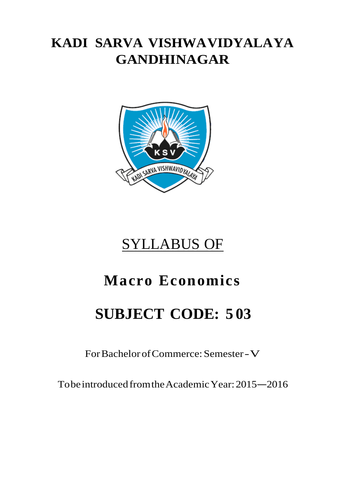# **KADI SARVA VISHWAVIDYALAYA GANDHINAGAR**



# SYLLABUS OF

# **Macro Economics**

# **SUBJECT CODE: 5 03**

For Bachelor of Commerce: Semester -V

To be introduced from the Academic Year: 2015 –2016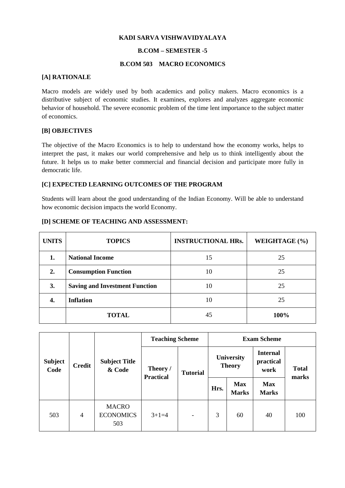#### **KADI SARVA VISHWAVIDYALAYA**

#### **B.COM – SEMESTER -5**

#### **B.COM 503 MACRO ECONOMICS**

#### **[A] RATIONALE**

Macro models are widely used by both academics and policy makers. Macro economics is a distributive subject of economic studies. It examines, explores and analyzes aggregate economic behavior of household. The severe economic problem of the time lent importance to the subject matter of economics.

#### **[B] OBJECTIVES**

The objective of the Macro Economics is to help to understand how the economy works, helps to interpret the past, it makes our world comprehensive and help us to think intelligently about the future. It helps us to make better commercial and financial decision and participate more fully in democratic life.

#### **[C] EXPECTED LEARNING OUTCOMES OF THE PROGRAM**

Students will learn about the good understanding of the Indian Economy. Will be able to understand how economic decision impacts the world Economy.

#### **[D] SCHEME OF TEACHING AND ASSESSMENT:**

| <b>UNITS</b> | <b>TOPICS</b>                         | <b>INSTRUCTIONAL HRs.</b> | WEIGHTAGE (%) |
|--------------|---------------------------------------|---------------------------|---------------|
| 1.           | <b>National Income</b>                | 15                        | 25            |
| 2.           | <b>Consumption Function</b>           | 10                        | 25            |
| 3.           | <b>Saving and Investment Function</b> | 10                        | 25            |
| 4.           | <b>Inflation</b>                      | 10                        | 25            |
|              | <b>TOTAL</b>                          | 45                        | 100%          |

|                        | <b>Credit</b> | <b>Subject Title</b><br>& Code          | <b>Teaching Scheme</b>       | <b>Exam Scheme</b> |                             |                            |                                      |                       |
|------------------------|---------------|-----------------------------------------|------------------------------|--------------------|-----------------------------|----------------------------|--------------------------------------|-----------------------|
| <b>Subject</b><br>Code |               |                                         | Theory /<br><b>Practical</b> | <b>Tutorial</b>    | University<br><b>Theory</b> |                            | <b>Internal</b><br>practical<br>work | <b>Total</b><br>marks |
|                        |               |                                         |                              |                    | Hrs.                        | <b>Max</b><br><b>Marks</b> | <b>Max</b><br><b>Marks</b>           |                       |
| 503                    | 4             | <b>MACRO</b><br><b>ECONOMICS</b><br>503 | $3+1=4$                      | ۰                  | 3                           | 60                         | 40                                   | 100                   |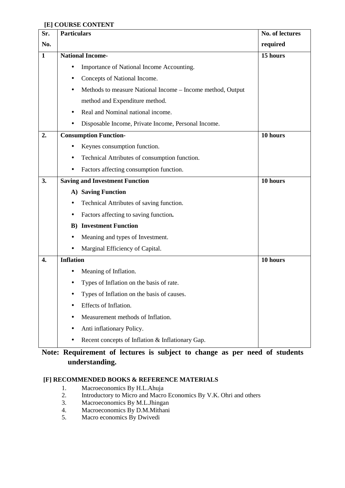#### **[E] COURSE CONTENT**

| Sr.              | <b>Particulars</b>                                         | No. of lectures |
|------------------|------------------------------------------------------------|-----------------|
| No.              |                                                            | required        |
| $\mathbf{1}$     | <b>National Income-</b>                                    | 15 hours        |
|                  | Importance of National Income Accounting.                  |                 |
|                  | Concepts of National Income.                               |                 |
|                  | Methods to measure National Income - Income method, Output |                 |
|                  | method and Expenditure method.                             |                 |
|                  | Real and Nominal national income.                          |                 |
|                  | Disposable Income, Private Income, Personal Income.        |                 |
| 2.               | <b>Consumption Function-</b>                               | 10 hours        |
|                  | Keynes consumption function.                               |                 |
|                  | Technical Attributes of consumption function.              |                 |
|                  | Factors affecting consumption function.<br>$\bullet$       |                 |
| 3.               | <b>Saving and Investment Function</b>                      | 10 hours        |
|                  | A) Saving Function                                         |                 |
|                  | Technical Attributes of saving function.                   |                 |
|                  | Factors affecting to saving function.                      |                 |
|                  | <b>Investment Function</b><br>B)                           |                 |
|                  | Meaning and types of Investment.                           |                 |
|                  | Marginal Efficiency of Capital.                            |                 |
| $\overline{4}$ . | <b>Inflation</b>                                           | 10 hours        |
|                  | Meaning of Inflation.                                      |                 |
|                  | Types of Inflation on the basis of rate.                   |                 |
|                  | Types of Inflation on the basis of causes.                 |                 |
|                  | Effects of Inflation.                                      |                 |
|                  | Measurement methods of Inflation.<br>$\bullet$             |                 |
|                  | Anti inflationary Policy.                                  |                 |
|                  | Recent concepts of Inflation & Inflationary Gap.           |                 |

## **Note: Requirement of lectures is subject to change as per need of students understanding.**

#### **[F] RECOMMENDED BOOKS & REFERENCE MATERIALS**

- 1. Macroeconomics By H.L.Ahuja
- 2. Introductory to Micro and Macro Economics By V.K. Ohri and others<br>3. Macroeconomics By M.L.Jhingan
- Macroeconomics By M.L.Jhingan
- 4. Macroeconomics By D.M.Mithani<br>5. Macro economics By Dwivedi
- Macro economics By Dwivedi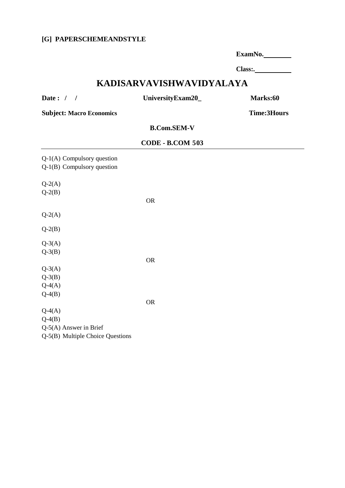#### **[G] PAPERSCHEMEANDSTYLE**

| ExamNo. |  |
|---------|--|
|         |  |

**Class:.** 

## **KADISARVAVISHWAVIDYALAYA**

**Date : / / UniversityExam20\_ Marks:60** 

**Subject: Macro Economics Time:3Hours** 

 **B.Com.SEM-V** 

#### **CODE - B.COM 503**

Q-1(A) Compulsory question Q-1(B) Compulsory question  $Q-2(A)$  $Q-2(B)$  OR  $Q-2(A)$ Q-2(B)  $Q-3(A)$  $Q-3(B)$  OR  $Q-3(A)$  $Q-3(B)$  $Q-4(A)$  $Q-4(B)$  OR  $Q-4(A)$  $Q-4(B)$ Q-5(A) Answer in Brief Q-5(B) Multiple Choice Questions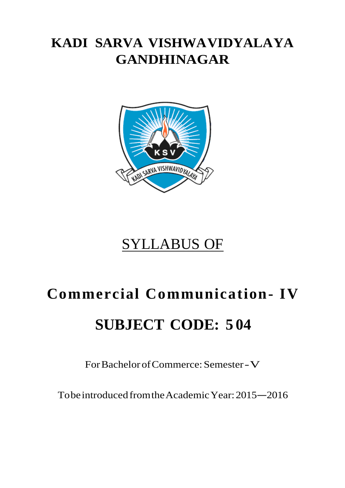# **KADI SARVA VISHWAVIDYALAYA GANDHINAGAR**



# SYLLABUS OF

# **Commercial Communication- IV SUBJECT CODE: 5 04**

For Bachelor of Commerce: Semester -V

To be introduced from the Academic Year: 2015 –2016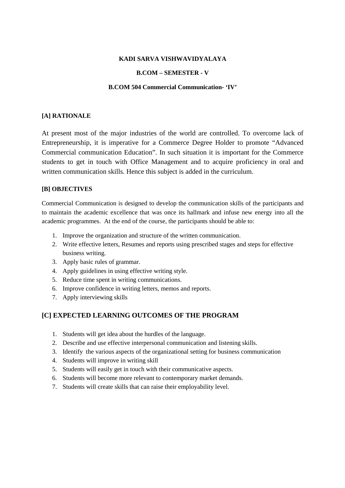#### **KADI SARVA VISHWAVIDYALAYA**

#### **B.COM – SEMESTER - V**

#### **B.COM 504 Commercial Communication- 'IV'**

#### **[A] RATIONALE**

At present most of the major industries of the world are controlled. To overcome lack of Entrepreneurship, it is imperative for a Commerce Degree Holder to promote "Advanced Commercial communication Education". In such situation it is important for the Commerce students to get in touch with Office Management and to acquire proficiency in oral and written communication skills. Hence this subject is added in the curriculum.

#### **[B] OBJECTIVES**

Commercial Communication is designed to develop the communication skills of the participants and to maintain the academic excellence that was once its hallmark and infuse new energy into all the academic programmes. At the end of the course, the participants should be able to:

- 1. Improve the organization and structure of the written communication.
- 2. Write effective letters, Resumes and reports using prescribed stages and steps for effective business writing.
- 3. Apply basic rules of grammar.
- 4. Apply guidelines in using effective writing style.
- 5. Reduce time spent in writing communications.
- 6. Improve confidence in writing letters, memos and reports.
- 7. Apply interviewing skills

#### **[C] EXPECTED LEARNING OUTCOMES OF THE PROGRAM**

- 1. Students will get idea about the hurdles of the language.
- 2. Describe and use effective interpersonal communication and listening skills.
- 3. Identify the various aspects of the organizational setting for business communication
- 4. Students will improve in writing skill
- 5. Students will easily get in touch with their communicative aspects.
- 6. Students will become more relevant to contemporary market demands.
- 7. Students will create skills that can raise their employability level.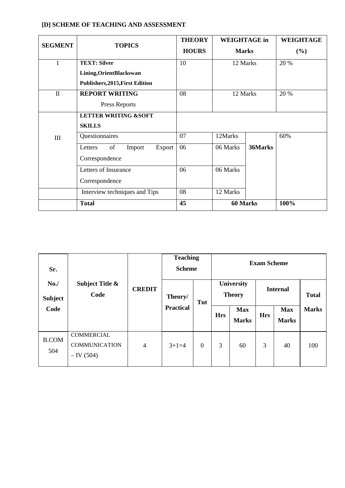### **[D] SCHEME OF TEACHING AND ASSESSMENT**

| <b>SEGMENT</b> | <b>TOPICS</b>                                                                             | <b>THEORY</b><br><b>HOURS</b> | <b>WEIGHTAGE</b> in<br><b>Marks</b> |      | <b>WEIGHTAGE</b><br>(%) |
|----------------|-------------------------------------------------------------------------------------------|-------------------------------|-------------------------------------|------|-------------------------|
| I              | <b>TEXT: Silver</b><br>Lining, Orient Blackswan<br><b>Publishers, 2015, First Edition</b> | 10                            | 12 Marks                            |      | 20 %                    |
| $\mathbf{I}$   | <b>REPORT WRITING</b><br>Press Reports                                                    | 08                            | 12 Marks                            | 20 % |                         |
|                | <b>LETTER WRITING &amp;SOFT</b><br><b>SKILLS</b>                                          |                               |                                     |      |                         |
| III            | Questionnaires                                                                            | 07                            | 12Marks                             |      | 60%                     |
|                | of<br>Letters<br>Export<br>Import<br>Correspondence                                       | 06                            | 06 Marks<br>36Marks                 |      |                         |
|                | Letters of Insurance<br>Correspondence                                                    | 06                            | 06 Marks                            |      |                         |
|                | Interview techniques and Tips                                                             | 08                            | 12 Marks                            |      |                         |
|                | <b>Total</b>                                                                              | 45                            | 60 Marks                            |      | 100%                    |

| Sr.                   |                                                           |                | <b>Teaching</b><br><b>Scheme</b> |                |                             |                            | <b>Exam Scheme</b> |                            |              |
|-----------------------|-----------------------------------------------------------|----------------|----------------------------------|----------------|-----------------------------|----------------------------|--------------------|----------------------------|--------------|
| No.<br><b>Subject</b> | Subject Title &<br>Code                                   | <b>CREDIT</b>  | Theory/<br>Tut                   |                | University<br><b>Theory</b> |                            | <b>Internal</b>    |                            | <b>Total</b> |
| Code                  |                                                           |                | <b>Practical</b>                 |                | <b>Hrs</b>                  | <b>Max</b><br><b>Marks</b> | <b>Hrs</b>         | <b>Max</b><br><b>Marks</b> | <b>Marks</b> |
| <b>B.COM</b><br>504   | <b>COMMERCIAL</b><br><b>COMMUNICATION</b><br>$-$ IV (504) | $\overline{4}$ | $3+1=4$                          | $\overline{0}$ | 3                           | 60                         | 3                  | 40                         | 100          |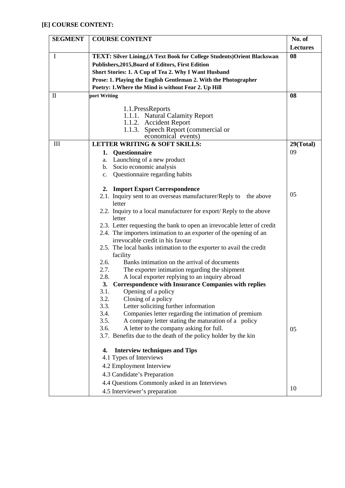## **[E] COURSE CONTENT:**

| <b>SEGMENT</b> | <b>COURSE CONTENT</b>                                                        | No. of    |  |  |  |  |
|----------------|------------------------------------------------------------------------------|-----------|--|--|--|--|
|                |                                                                              |           |  |  |  |  |
| $\mathbf I$    | TEXT: Silver Lining, (A Text Book for College Students) Orient Blackswan     | 08        |  |  |  |  |
|                | Publishers, 2015, Board of Editors, First Edition                            |           |  |  |  |  |
|                | Short Stories: 1. A Cup of Tea 2. Why I Want Husband                         |           |  |  |  |  |
|                | Prose: 1. Playing the English Gentleman 2. With the Photographer             |           |  |  |  |  |
|                | Poetry: 1. Where the Mind is without Fear 2. Up Hill                         |           |  |  |  |  |
| $\mathbf{I}$   | port Writing                                                                 | 08        |  |  |  |  |
|                |                                                                              |           |  |  |  |  |
|                | 1.1. PressReports<br>1.1.1. Natural Calamity Report                          |           |  |  |  |  |
|                | 1.1.2. Accident Report                                                       |           |  |  |  |  |
|                | 1.1.3. Speech Report (commercial or                                          |           |  |  |  |  |
|                | economical events)                                                           |           |  |  |  |  |
| III            | LETTER WRITING & SOFT SKILLS:                                                | 29(Total) |  |  |  |  |
|                | Questionnaire<br>1.                                                          | 09        |  |  |  |  |
|                | a. Launching of a new product                                                |           |  |  |  |  |
|                | b. Socio economic analysis                                                   |           |  |  |  |  |
|                | Questionnaire regarding habits<br>$C_{\bullet}$                              |           |  |  |  |  |
|                |                                                                              |           |  |  |  |  |
|                | 2. Import Export Correspondence                                              | 05        |  |  |  |  |
|                | 2.1. Inquiry sent to an overseas manufacturer/Reply to<br>the above          |           |  |  |  |  |
|                | letter                                                                       |           |  |  |  |  |
|                | 2.2. Inquiry to a local manufacturer for export/Reply to the above<br>letter |           |  |  |  |  |
|                | 2.3. Letter requesting the bank to open an irrevocable letter of credit      |           |  |  |  |  |
|                | 2.4. The importers intimation to an exporter of the opening of an            |           |  |  |  |  |
|                | irrevocable credit in his favour                                             |           |  |  |  |  |
|                | 2.5. The local banks intimation to the exporter to avail the credit          |           |  |  |  |  |
|                | facility                                                                     |           |  |  |  |  |
|                | 2.6.<br>Banks intimation on the arrival of documents                         |           |  |  |  |  |
|                | 2.7.<br>The exporter intimation regarding the shipment                       |           |  |  |  |  |
|                | 2.8.<br>A local exporter replying to an inquiry abroad                       |           |  |  |  |  |
|                | <b>Correspondence with Insurance Companies with replies</b><br>3.            |           |  |  |  |  |
|                | 3.1.<br>Opening of a policy                                                  |           |  |  |  |  |
|                | 3.2.<br>Closing of a policy                                                  |           |  |  |  |  |
|                | 3.3.<br>Letter soliciting further information                                |           |  |  |  |  |
|                | Companies letter regarding the intimation of premium<br>3.4.                 |           |  |  |  |  |
|                | A company letter stating the maturation of a policy<br>3.5.                  |           |  |  |  |  |
|                | 3.6.<br>A letter to the company asking for full.                             | 05        |  |  |  |  |
|                | 3.7. Benefits due to the death of the policy holder by the kin               |           |  |  |  |  |
|                | <b>Interview techniques and Tips</b><br>4.                                   |           |  |  |  |  |
|                | 4.1 Types of Interviews                                                      |           |  |  |  |  |
|                | 4.2 Employment Interview                                                     |           |  |  |  |  |
|                | 4.3 Candidate's Preparation                                                  |           |  |  |  |  |
|                | 4.4 Questions Commonly asked in an Interviews                                |           |  |  |  |  |
|                | 4.5 Interviewer's preparation                                                | 10        |  |  |  |  |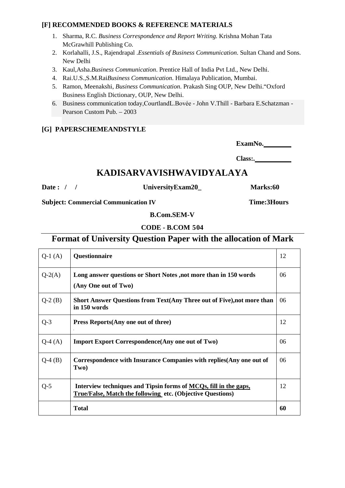#### **[F] RECOMMENDED BOOKS & REFERENCE MATERIALS**

- 1. Sharma, R.C. *Business Correspondence and Report Writing.* Krishna Mohan Tata McGrawhill Publishing Co.
- 2. Korlahalli, J.S., Rajendrapal .*Essentials of Business Communication*. Sultan Chand and Sons. New Delhi
- 3. Kaul,Asha.*Business Communication*. Prentice Hall of India Pvt Ltd., New Delhi.
- 4. Rai.U.S.,S.M.Rai*Business Communication*. Himalaya Publication, Mumbai.
- 5. Ramon, Meenakshi, *Business Communication*. Prakash Sing OUP, New Delhi."Oxford Business English Dictionary, OUP, New Delhi.
- 6. Business communication today,CourtlandL.Bovée John V.Thill Barbara E.Schatzman Pearson Custom Pub. – 2003

#### **[G] PAPERSCHEMEANDSTYLE**

**ExamNo.** 

**Class:.** 

## **KADISARVAVISHWAVIDYALAYA**

**Date : / / UniversityExam20\_ Marks:60** 

**Subject: Commercial Communication IV** Time: 3Hours

 **B.Com.SEM-V** 

 **CODE - B.COM 504**

## **Format of University Question Paper with the allocation of Mark**

| $Q-1(A)$ | Questionnaire                                                                                                                  | 12 |
|----------|--------------------------------------------------------------------------------------------------------------------------------|----|
| $Q-2(A)$ | Long answer questions or Short Notes, not more than in 150 words<br>(Any One out of Two)                                       | 06 |
| $Q-2(B)$ | Short Answer Questions from Text(Any Three out of Five), not more than<br>in 150 words                                         | 06 |
| $Q-3$    | Press Reports (Any one out of three)<br>L.                                                                                     | 12 |
| $Q-4(A)$ | <b>Import Export Correspondence (Any one out of Two)</b>                                                                       | 06 |
| $Q-4(B)$ | Correspondence with Insurance Companies with replies (Any one out of<br>Two)                                                   | 06 |
| $Q-5$    | Interview techniques and Tipsin forms of MCQs, fill in the gaps,<br>True/False, Match the following etc. (Objective Questions) | 12 |
|          | <b>Total</b>                                                                                                                   | 60 |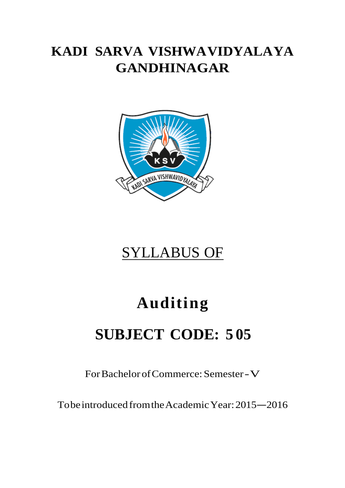# **KADI SARVA VISHWAVIDYALAYA GANDHINAGAR**



# SYLLABUS OF

# **Auditing**

# **SUBJECT CODE: 5 05**

For Bachelor of Commerce: Semester -V

To be introduced from the Academic Year: 2015 –2016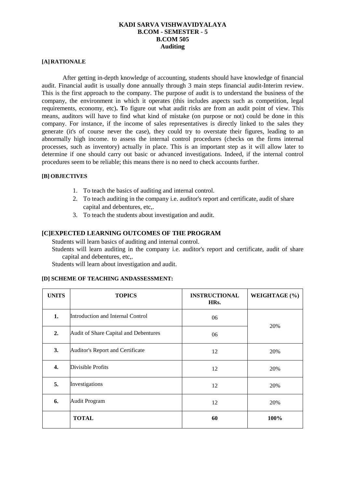#### **KADI SARVA VISHWAVIDYALAYA B.COM - SEMESTER - 5 B.COM 505 Auditing**

#### **[A] RATIONALE**

After getting in-depth knowledge of accounting, students should have knowledge of financial audit. Financial audit is usually done annually through 3 main steps financial audit-Interim review. This is the first approach to the company. The purpose of audit is to understand the business of the company, the environment in which it operates (this includes aspects such as competition, legal requirements, economy, etc)**. T**o figure out what audit risks are from an audit point of view. This means, auditors will have to find what kind of mistake (on purpose or not) could be done in this company. For instance, if the income of sales representatives is directly linked to the sales they generate (it's of course never the case), they could try to overstate their figures, leading to an abnormally high income. to assess the internal control procedures (checks on the firms internal processes, such as inventory) actually in place. This is an important step as it will allow later to determine if one should carry out basic or advanced investigations. Indeed, if the internal control procedures seem to be reliable; this means there is no need to check accounts further.

#### **[B] OBJECTIVES**

- 1. To teach the basics of auditing and internal control.
- 2. To teach auditing in the company i.e. auditor's report and certificate, audit of share capital and debentures, etc,.
- 3. To teach the students about investigation and audit.

#### **[C] EXPECTED LEARNING OUTCOMES OF THE PROGRAM**

Students will learn basics of auditing and internal control.

Students will learn auditing in the company i.e. auditor's report and certificate, audit of share capital and debentures, etc,.

Students will learn about investigation and audit.

| <b>UNITS</b> | <b>TOPICS</b>                         | <b>INSTRUCTIONAL</b><br>HRs. | WEIGHTAGE (%) |
|--------------|---------------------------------------|------------------------------|---------------|
| 1.           | Introduction and Internal Control     | 06                           | 20%           |
| 2.           | Audit of Share Capital and Debentures | 06                           |               |
| 3.           | Auditor's Report and Certificate      | 12                           | 20%           |
| 4.           | Divisible Profits                     | 12                           | 20%           |
| 5.           | Investigations                        | 12                           | 20%           |
| 6.           | <b>Audit Program</b>                  | 12                           | 20%           |
|              | <b>TOTAL</b>                          | 60                           | 100%          |

#### **[D] SCHEME OF TEACHING ANDASSESSMENT:**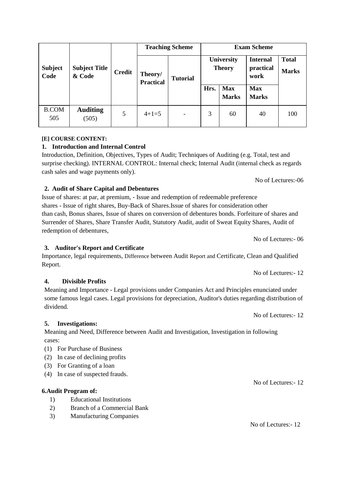|                        |                                |               | <b>Teaching Scheme</b>      |                          | <b>Exam Scheme</b>                 |                            |                                      |                              |
|------------------------|--------------------------------|---------------|-----------------------------|--------------------------|------------------------------------|----------------------------|--------------------------------------|------------------------------|
| <b>Subject</b><br>Code | <b>Subject Title</b><br>& Code | <b>Credit</b> | Theory/<br><b>Practical</b> | <b>Tutorial</b>          | <b>University</b><br><b>Theory</b> |                            | <b>Internal</b><br>practical<br>work | <b>Total</b><br><b>Marks</b> |
|                        |                                |               |                             |                          | Hrs.                               | <b>Max</b><br><b>Marks</b> | <b>Max</b><br><b>Marks</b>           |                              |
| <b>B.COM</b><br>505    | <b>Auditing</b><br>(505)       | 5             | $4+1=5$                     | $\overline{\phantom{a}}$ | 3                                  | 60                         | 40                                   | 100                          |

#### **[E] COURSE CONTENT:**

### **1. Introduction and Internal Control**

Introduction, Definition, Objectives, Types of Audit; Techniques of Auditing (e.g. Total, test and surprise checking). INTERNAL CONTROL: Internal check; Internal Audit (internal check as regards cash sales and wage payments only).

No of Lectures:-06

No of Lectures:- 06

#### **2. Audit of Share Capital and Debentures**

Issue of shares: at par, at premium, - Issue and redemption of redeemable preference shares - Issue of right shares, Buy-Back of Shares.Issue of shares for consideration other than cash, Bonus shares, Issue of shares on conversion of debentures bonds. Forfeiture of shares and Surrender of Shares, Share Transfer Audit, Statutory Audit, audit of Sweat Equity Shares, Audit of redemption of debentures,

**3. Auditor's Report and Certificate** 

#### Importance, legal requirements, Difference between Audit Report and Certificate, Clean and Qualified Report. No of Lectures:- 12

## **4. Divisible Profits**

Meaning and Importance - Legal provisions under Companies Act and Principles enunciated under some famous legal cases. Legal provisions for depreciation, Auditor's duties regarding distribution of dividend.

No of Lectures:- 12

**5. Investigations:** 

Meaning and Need, Difference between Audit and Investigation, Investigation in following cases:

- (1) For Purchase of Business
- (2) In case of declining profits
- (3) For Granting of a loan
- (4) In case of suspected frauds.

## **6.Audit Program of:**

- 1) Educational Institutions
- 2) Branch of a Commercial Bank
- 3) Manufacturing Companies

No of Lectures:- 12

No of Lectures:- 12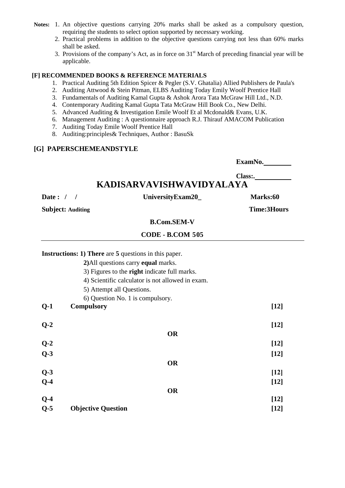- **Notes:** 1. An objective questions carrying 20% marks shall be asked as a compulsory question, requiring the students to select option supported by necessary working.
	- 2. Practical problems in addition to the objective questions carrying not less than 60% marks shall be asked.
	- 3. Provisions of the company's Act, as in force on  $31<sup>st</sup>$  March of preceding financial year will be applicable.

#### **[F] RECOMMENDED BOOKS & REFERENCE MATERIALS**

- 1. Practical Auditing 5th Edition Spicer & Pegler (S.V. Ghatalia) Allied Publishers de Paula's
- 2. Auditing Attwood & Stein Pitman, ELBS Auditing Today Emily Woolf Prentice Hall
- 3. Fundamentals of Auditing Kamal Gupta & Ashok Arora Tata McGraw Hill Ltd., N.D.
- 4. Contemporary Auditing Kamal Gupta Tata McGraw Hill Book Co., New Delhi.
- 5. Advanced Auditing & Investigation Emile Woolf Et al Mcdonald& Evans, U.K.
- 6. Management Auditing : A questionnaire approach R.J. Thirauf AMACOM Publication
- 7. Auditing Today Emile Woolf Prentice Hall
- 8. Auditing:principles& Techniques, Author : BasuSk

#### **[G] PAPERSCHEMEANDSTYLE**

**ExamNo.** 

**Class:.** 

# **KADISARVAVISHWAVIDYALAYA**

Date : / / UniversityExam20\_ Marks:60

**Subject: Auditing Time:3Hours** 

 **B.Com.SEM-V** 

 **CODE - B.COM 505**

|       | <b>Instructions: 1) There</b> are 5 questions in this paper. |        |
|-------|--------------------------------------------------------------|--------|
|       | 2) All questions carry equal marks.                          |        |
|       | 3) Figures to the <b>right</b> indicate full marks.          |        |
|       | 4) Scientific calculator is not allowed in exam.             |        |
|       | 5) Attempt all Questions.                                    |        |
|       | 6) Question No. 1 is compulsory.                             |        |
| $Q-1$ | <b>Compulsory</b>                                            | $[12]$ |
| $Q-2$ |                                                              | $[12]$ |
|       | <b>OR</b>                                                    |        |
| $Q-2$ |                                                              | $[12]$ |
| $Q-3$ |                                                              | $[12]$ |
|       | <b>OR</b>                                                    |        |
| $Q-3$ |                                                              | $[12]$ |
| $Q-4$ |                                                              | $[12]$ |
|       | <b>OR</b>                                                    |        |
| $Q-4$ |                                                              | $[12]$ |
| $Q-5$ | <b>Objective Question</b>                                    | $[12]$ |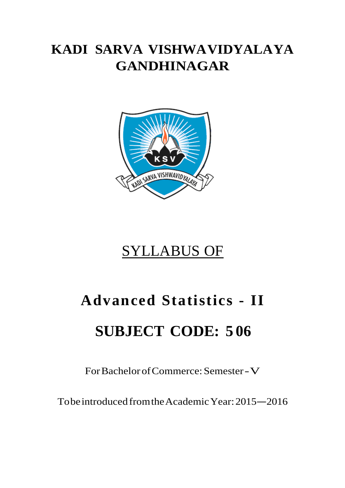# **KADI SARVA VISHWAVIDYALAYA GANDHINAGAR**



# SYLLABUS OF

# **Advanced Statistics - II SUBJECT CODE: 5 06**

For Bachelor of Commerce: Semester -V

To be introduced from the Academic Year: 2015 –2016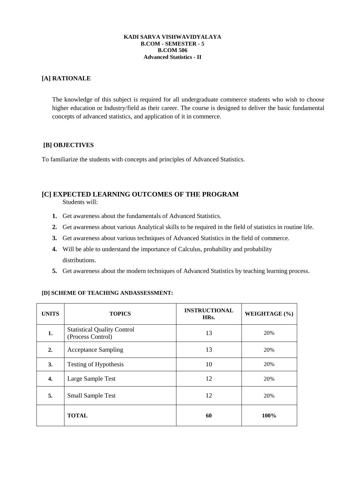#### **KADI SARVA VISHWAVIDYALAYA B.COM - SEMESTER - 5 B.COM 506 Advanced Statistics - II**

#### **[A] RATIONALE**

The knowledge of this subject is required for all undergraduate commerce students who wish to choose higher education or Industry/field as their career. The course is designed to deliver the basic fundamental concepts of advanced statistics, and application of it in commerce.

#### **[B] OBJECTIVES**

To familiarize the students with concepts and principles of Advanced Statistics.

### **[C] EXPECTED LEARNING OUTCOMES OF THE PROGRAM**

Students will:

- **1.** Get awareness about the fundamentals of Advanced Statistics.
- **2.** Get awareness about various Analytical skills to be required in the field of statistics in routine life.
- **3.** Get awareness about various techniques of Advanced Statistics in the field of commerce.
- **4.** Will be able to understand the importance of Calculus, probability and probability distributions.
- **5.** Get awareness about the modern techniques of Advanced Statistics by teaching learning process.

#### **[D] SCHEME OF TEACHING ANDASSESSMENT:**

| <b>UNITS</b> | <b>TOPICS</b>                                           | <b>INSTRUCTIONAL</b><br>HRs. | WEIGHTAGE (%) |
|--------------|---------------------------------------------------------|------------------------------|---------------|
| 1.           | <b>Statistical Quality Control</b><br>(Process Control) | 13                           | 20%           |
| 2.           | <b>Acceptance Sampling</b>                              | 13                           | 20%           |
| 3.           | Testing of Hypothesis                                   | 10                           | 20%           |
| 4.           | Large Sample Test                                       | 12                           | 20%           |
| 5.           | <b>Small Sample Test</b>                                | 12                           | 20%           |
|              | <b>TOTAL</b>                                            | 60                           | 100%          |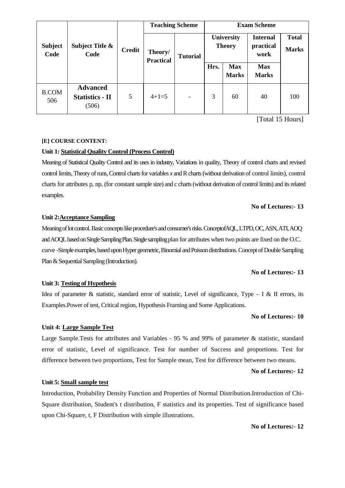|                        |                                                    | <b>Teaching Scheme</b> |                             |                          | <b>Exam Scheme</b>          |                            |                                      |                              |
|------------------------|----------------------------------------------------|------------------------|-----------------------------|--------------------------|-----------------------------|----------------------------|--------------------------------------|------------------------------|
| <b>Subject</b><br>Code | Subject Title &<br>Code                            | <b>Credit</b>          | Theory/<br><b>Practical</b> | <b>Tutorial</b>          | University<br><b>Theory</b> |                            | <b>Internal</b><br>practical<br>work | <b>Total</b><br><b>Marks</b> |
|                        |                                                    |                        |                             |                          | Hrs.                        | <b>Max</b><br><b>Marks</b> | <b>Max</b><br><b>Marks</b>           |                              |
| <b>B.COM</b><br>506    | <b>Advanced</b><br><b>Statistics - II</b><br>(506) | 5                      | $4+1=5$                     | $\overline{\phantom{0}}$ | 3                           | 60                         | 40                                   | 100                          |

[Total 15 Hours]

#### **[E] COURSE CONTENT:**

#### **Unit 1: Statistical Quality Control (Process Control)**

Meaning of Statistical Quality Control and its uses in industry, Variations in quality, Theory of control charts and revised control limits, Theory of runs, Control charts for variables *x* and R charts (without derivation of control limits), control charts for attributes p, np, (for constant sample size) and c charts (without derivation of control limits) and its related examples.

#### **No of Lectures:- 13**

#### **Unit 2:Acceptance Sampling**

Meaning of lot control. Basic concepts like procedure's and consumer's risks. ConceptofAQL, LTPD, OC, ASN, ATI, AOQ and AOQL based on Single Sampling Plan. Single sampling plan for attributes when two points are fixed on the O.C. curve -Simple examples, based upon Hyper geometric, Binomial and Poisson distributions. Concept of Double Sampling Plan & Sequential Sampling (Introduction).

#### **No of Lectures:- 13**

#### **Unit 3: Testing of Hypothesis**

Idea of parameter & statistic, standard error of statistic, Level of significance, Type – I & II errors, its Examples.Power of test, Critical region, Hypothesis Framing and Some Applications.

#### **No of Lectures:- 10**

#### **Unit 4: Large Sample Test**

Large Sample.Tests for attributes and Variables - 95 % and 99% of parameter & statistic, standard error of statistic, Level of significance. Test for number of Success and proportions. Test for difference between two proportions, Test for Sample mean, Test for difference between two means.

#### **No of Lectures:- 12**

#### **Unit 5: Small sample test**

Introduction, Probability Density Function and Properties of Normal Distribution.Introduction of Chi-Square distribution, Student's t distribution, F statistics and its properties. Test of significance based upon Chi-Square, t, F Distribution with simple illustrations.

#### **No of Lectures:- 12**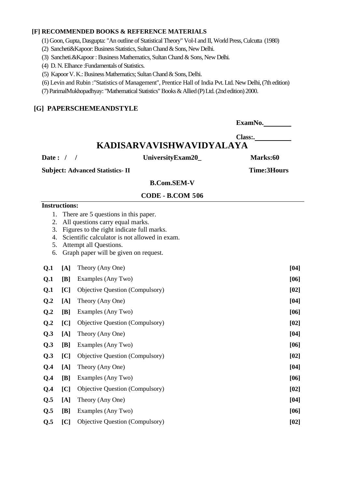#### **[F] RECOMMENDED BOOKS & REFERENCE MATERIALS**

(1) Goon, Gupta, Dasgupta: "An outline of Statistical Theory" Vol-I and II, World Press, Culcutta (1980)

- (2) Sancheti&Kapoor: Business Statistics, Sultan Chand & Sons, New Delhi.
- (3) Sancheti.&Kapoor : Business Mathematics, Sultan Chand & Sons, New Delhi.
- (4) D. N. Elhance :Fundamentals of Statistics.
- (5) Kapoor V. K.: Business Mathematics; Sultan Chand & Sons, Delhi.
- (6) Levin and Rubin :"Statistics of Management", Prentice Hall of India Pvt. Ltd. New Delhi, (7th edition)
- (7) ParimalMukhopadhyay: "Mathematical Statistics" Books & Allied (P) Ltd. (2nd edition) 2000.

#### **[G] PAPERSCHEMEANDSTYLE**

ExamNo.

#### **Class:. KADISARVAVISHWAVIDYALAYA**

**Date : / / UniversityExam20\_ Marks:60** 

**Subject: Advanced Statistics- II Time:3Hours** 

#### **B.Com.SEM-V**

#### **CODE - B.COM 506**

#### **Instructions:**

- 1. There are 5 questions in this paper.
- 2. All questions carry equal marks.
- 3. Figures to the right indicate full marks.
- 4. Scientific calculator is not allowed in exam.
- 5. Attempt all Questions.
- 6. Graph paper will be given on request.

| Q <sub>1</sub> | [A] | Theory (Any One)                | $[04]$ |
|----------------|-----|---------------------------------|--------|
| Q <sub>1</sub> | [B] | Examples (Any Two)              | [06]   |
| Q <sub>1</sub> | [C] | Objective Question (Compulsory) | [02]   |
| Q <sub>2</sub> | [A] | Theory (Any One)                | [04]   |
| Q.2            | [B] | Examples (Any Two)              | [06]   |
| Q.2            | [C] | Objective Question (Compulsory) | [02]   |
| Q.3            | [A] | Theory (Any One)                | [04]   |
| Q.3            | [B] | Examples (Any Two)              | [06]   |
| Q.3            | [C] | Objective Question (Compulsory) | [02]   |
| Q.4            | [A] | Theory (Any One)                | [04]   |
| Q.4            | [B] | Examples (Any Two)              | [06]   |
| Q.4            | [C] | Objective Question (Compulsory) | [02]   |
| Q.5            | [A] | Theory (Any One)                | [04]   |
| Q.5            | [B] | Examples (Any Two)              | [06]   |
| Q.5            | [C] | Objective Question (Compulsory) | [02]   |
|                |     |                                 |        |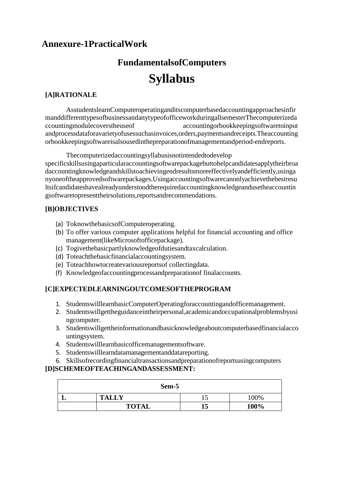# **Annexure-1PracticalWork**

# **FundamentalsofComputers Syllabus**

### **[A]RATIONALE**

AsstudentslearnComputeroperatinganditscomputerbasedaccountingapproachesinfir manddifferenttypesofbusinessandanytypeofofficeworkduringallsemesterThecomputerizeda ccountingmodulecoverstheuseof accountingorbookkeepingsoftwaretoinput andprocessdataforavarietyofusessuchasinvoices,orders,paymentsandreceipts.Theaccounting orbookkeepingsoftwareisalsousedinthepreparationofmanagementandperiod-endreports.

Thecomputerizedaccountingsyllabusisnotintendedtodevelop specificskillsusingaparticularaccountingsoftwarepackagebuttohelpcandidatesapplytheirbroa daccountingknowledgeandskillstoachievingendresultsmoreeffectivelyandefficiently,usinga nyoneoftheapprovedsoftwarepackages.Usingaccountingsoftwarecanonlyachievethebestresu ltsifcandidateshavealreadyunderstoodtherequiredaccountingknowledgeandusetheaccountin gsoftwaretopresenttheirsolutions,reportsandrecommendations.

#### **[B]OBJECTIVES**

- (a) ToknowthebasicsofComputeroperating.
- (b) To offer various computer applications helpful for financial accounting and office management(likeMicrosoftofficepackage).
- (c) Togivethebasicpartlyknowledgeofdutiesandtaxcalculation.
- (d) Toteachthebasicfinancialaccountingsystem.
- (e) Toteachhowtocreatevariousreportsof collectingdata.
- (f) Knowledgeofaccountingprocessandpreparationof finalaccounts.

#### **[C]EXPECTEDLEARNINGOUTCOMESOFTHEPROGRAM**

- 1. StudentswilllearnbasicComputerOperatingforaccountingandofficemanagement.
- 2. Studentswillgettheguidanceintheirpersonal,academicandoccupationalproblemsbyusi ngcomputer.
- 3. Studentswillgettheinformationandbasicknowledgeaboutcomputerbasedfinancialacco untingsystem.
- 4. Studentswilllearnbasicofficemanagementsoftware.
- 5. Studentswilllearndatamanagementanddatareporting.
- 6. Skillsofrecordingfinancialtransactionsandpreparationofreportsusingcomputers

#### **[D]SCHEMEOFTEACHINGANDASSESSMENT:**

| Sem-5 |              |   |         |  |  |  |
|-------|--------------|---|---------|--|--|--|
| L e   | <b>TALLY</b> | ∸ | $100\%$ |  |  |  |
|       | <b>TOTAL</b> |   | 100%    |  |  |  |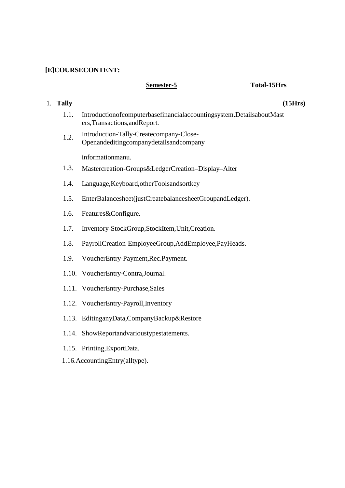#### **[E]COURSECONTENT:**

#### Semester-5 Total-15Hrs

- 1.1. Introductionofcomputerbasefinancialaccountingsystem.DetailsaboutMast ers,Transactions,andReport.
- 1.2. Introduction-Tally-Createcompany-Close-Openandeditingcompanydetailsandcompany

informationmanu.

- 1.3. Mastercreation-Groups&LedgerCreation–Display–Alter
- 1.4. Language,Keyboard,otherToolsandsortkey
- 1.5. EnterBalancesheet(justCreatebalancesheetGroupandLedger).
- 1.6. Features&Configure.
- 1.7. Inventory-StockGroup,StockItem,Unit,Creation.
- 1.8. PayrollCreation-EmployeeGroup,AddEmployee,PayHeads.
- 1.9. VoucherEntry-Payment,Rec.Payment.
- 1.10. VoucherEntry-Contra,Journal.
- 1.11. VoucherEntry-Purchase,Sales
- 1.12. VoucherEntry-Payroll,Inventory
- 1.13. EditinganyData,CompanyBackup&Restore
- 1.14. ShowReportandvarioustypestatements.
- 1.15. Printing,ExportData.
- 1.16.AccountingEntry(alltype).

## 1. **Tally**

**(15Hrs)**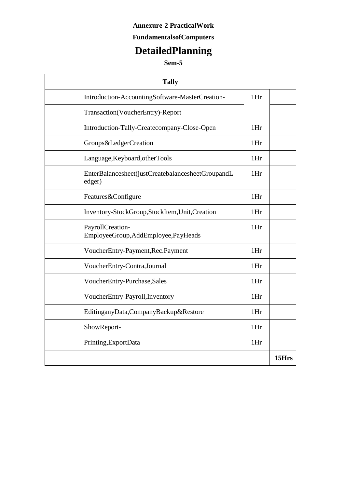## **Annexure-2 PracticalWork**

## **FundamentalsofComputers**

# **DetailedPlanning**

## **Sem-5**

| <b>Tally</b>                                                |     |       |
|-------------------------------------------------------------|-----|-------|
| Introduction-AccountingSoftware-MasterCreation-             | 1Hr |       |
| Transaction(VoucherEntry)-Report                            |     |       |
| Introduction-Tally-Createcompany-Close-Open                 | 1Hr |       |
| Groups&LedgerCreation                                       | 1Hr |       |
| Language, Keyboard, otherTools                              | 1Hr |       |
| EnterBalancesheet(justCreatebalancesheetGroupandL<br>edger) | 1Hr |       |
| Features&Configure                                          | 1Hr |       |
| Inventory-StockGroup,StockItem,Unit,Creation                | 1Hr |       |
| PayrollCreation-<br>EmployeeGroup,AddEmployee,PayHeads      | 1Hr |       |
| VoucherEntry-Payment, Rec. Payment                          | 1Hr |       |
| VoucherEntry-Contra,Journal                                 | 1Hr |       |
| VoucherEntry-Purchase,Sales                                 | 1Hr |       |
| VoucherEntry-Payroll, Inventory                             | 1Hr |       |
| EditinganyData,CompanyBackup&Restore                        | 1Hr |       |
| ShowReport-                                                 | 1Hr |       |
| Printing, ExportData                                        | 1Hr |       |
|                                                             |     | 15Hrs |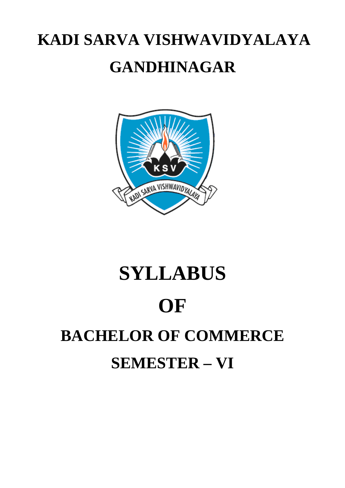# **KADI SARVA VISHWAVIDYALAYA GANDHINAGAR**



# **SYLLABUS OF BACHELOR OF COMMERCE SEMESTER – VI**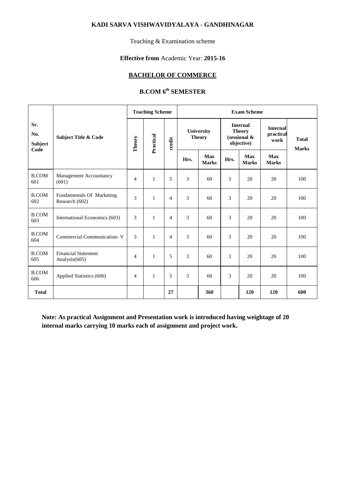#### **KADI SARVA VISHWAVIDYALAYA - GANDHINAGAR**

Teaching & Examination scheme

#### **Effective from** Academic Year: **2015-16**

#### **BACHELOR OF COMMERCE**

## **B.COM 6th SEMESTER**

|                               |                                             | <b>Teaching Scheme</b> |              |                |                             |                            |                                                                   | <b>Exam Scheme</b>         |                                      |                              |  |
|-------------------------------|---------------------------------------------|------------------------|--------------|----------------|-----------------------------|----------------------------|-------------------------------------------------------------------|----------------------------|--------------------------------------|------------------------------|--|
| Sr.<br>No.<br>Subject<br>Code | <b>Subject Title &amp; Code</b>             | Theory                 | Practical    | credit         | University<br><b>Theory</b> |                            | <b>Internal</b><br><b>Theory</b><br>(sessional $\&$<br>objective) |                            | <b>Internal</b><br>practical<br>work | <b>Total</b><br><b>Marks</b> |  |
|                               |                                             |                        |              |                | Hrs.                        | <b>Max</b><br><b>Marks</b> | Hrs.                                                              | <b>Max</b><br><b>Marks</b> | <b>Max</b><br><b>Marks</b>           |                              |  |
| <b>B.COM</b><br>601           | Management Accountancy<br>(601)             | $\overline{4}$         | $\mathbf{1}$ | 5              | 3                           | 60                         | 3                                                                 | 20                         | 20                                   | 100                          |  |
| <b>B.COM</b><br>602           | Fundamentals Of Marketing<br>Research (602) | 3                      | $\mathbf{1}$ | $\overline{4}$ | 3                           | 60                         | 3                                                                 | 20                         | 20                                   | 100                          |  |
| <b>B.COM</b><br>603           | International Economics (603)               | 3                      | $\mathbf{1}$ | $\overline{4}$ | 3                           | 60                         | 3                                                                 | 20                         | 20                                   | 100                          |  |
| <b>B.COM</b><br>604           | Commercial Communication-V                  | 3                      | $\mathbf{1}$ | $\overline{4}$ | 3                           | 60                         | 3                                                                 | 20                         | 20                                   | 100                          |  |
| <b>B.COM</b><br>605           | <b>Financial Statement</b><br>Analysis(605) | $\overline{4}$         | $\mathbf{1}$ | 5              | 3                           | 60                         | 3                                                                 | 20                         | 20                                   | 100                          |  |
| <b>B.COM</b><br>606           | Applied Statistics (606)                    | $\overline{4}$         | $\mathbf{1}$ | 5              | 3                           | 60                         | 3                                                                 | 20                         | 20                                   | 100                          |  |
| <b>Total</b>                  |                                             |                        |              | 27             |                             | 360                        |                                                                   | 120                        | 120                                  | 600                          |  |

**Note: As practical Assignment and Presentation work is introduced having weightage of 20 internal marks carrying 10 marks each of assignment and project work.**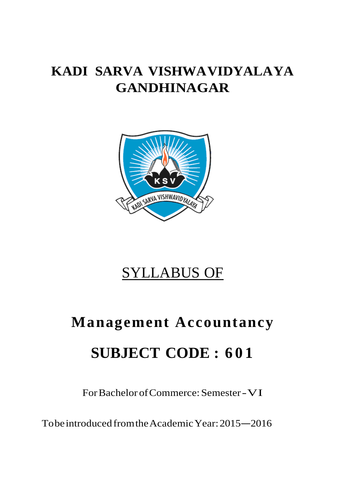# **KADI SARVA VISHWAVIDYALAYA GANDHINAGAR**



# SYLLABUS OF

# **Management Accountancy SUBJECT CODE : 6 0 1**

For Bachelor of Commerce: Semester -VI

To be introduced from the Academic Year: 2015 –2016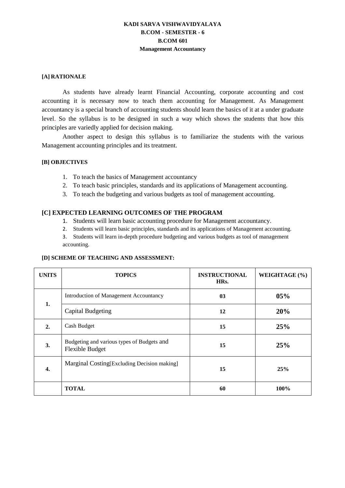#### **KADI SARVA VISHWAVIDYALAYA B.COM - SEMESTER - 6 B.COM 601 Management Accountancy**

#### **[A] RATIONALE**

As students have already learnt Financial Accounting, corporate accounting and cost accounting it is necessary now to teach them accounting for Management. As Management accountancy is a special branch of accounting students should learn the basics of it at a under graduate level. So the syllabus is to be designed in such a way which shows the students that how this principles are variedly applied for decision making.

Another aspect to design this syllabus is to familiarize the students with the various Management accounting principles and its treatment.

#### **[B] OBJECTIVES**

- 1. To teach the basics of Management accountancy
- 2. To teach basic principles, standards and its applications of Management accounting.
- 3. To teach the budgeting and various budgets as tool of management accounting.

#### **[C] EXPECTED LEARNING OUTCOMES OF THE PROGRAM**

- 1. Students will learn basic accounting procedure for Management accountancy.
- 2. Students will learn basic principles, standards and its applications of Management accounting.
- 3. Students will learn in-depth procedure budgeting and various budgets as tool of management accounting.

#### **[D] SCHEME OF TEACHING AND ASSESSMENT:**

| <b>UNITS</b> | <b>TOPICS</b>                                                        | <b>INSTRUCTIONAL</b><br>HRs. | WEIGHTAGE (%) |
|--------------|----------------------------------------------------------------------|------------------------------|---------------|
|              | <b>Introduction of Management Accountancy</b>                        | 03                           | 05%           |
| 1.           | <b>Capital Budgeting</b>                                             | 12                           | 20%           |
| 2.           | Cash Budget                                                          | 15                           | 25%           |
| 3.           | Budgeting and various types of Budgets and<br><b>Flexible Budget</b> | 15                           | 25%           |
| 4.           | Marginal Costing [Excluding Decision making]                         | 15                           | 25%           |
|              | <b>TOTAL</b>                                                         | 60                           | 100%          |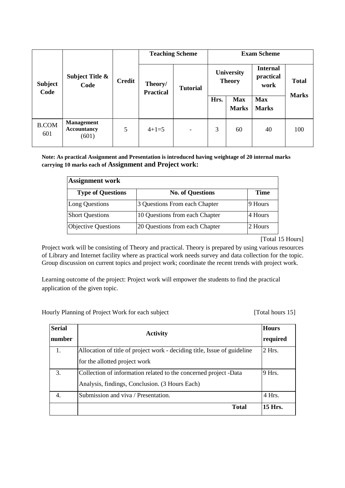|                        |                                                     |   | <b>Teaching Scheme</b>      | <b>Exam Scheme</b>       |      |                             |                                      |              |
|------------------------|-----------------------------------------------------|---|-----------------------------|--------------------------|------|-----------------------------|--------------------------------------|--------------|
| <b>Subject</b><br>Code | <b>Subject Title &amp;</b><br><b>Credit</b><br>Code |   | Theory/<br><b>Practical</b> | <b>Tutorial</b>          |      | University<br><b>Theory</b> | <b>Internal</b><br>practical<br>work | <b>Total</b> |
|                        |                                                     |   |                             |                          | Hrs. | <b>Max</b><br><b>Marks</b>  | <b>Max</b><br><b>Marks</b>           | <b>Marks</b> |
| <b>B.COM</b><br>601    | <b>Management</b><br><b>Accountancy</b><br>(601)    | 5 | $4+1=5$                     | $\overline{\phantom{a}}$ | 3    | 60                          | 40                                   | 100          |

**Note: As practical Assignment and Presentation is introduced having weightage of 20 internal marks carrying 10 marks each of Assignment and Project work:** 

| <b>Assignment work</b>     |                                |             |
|----------------------------|--------------------------------|-------------|
| <b>Type of Questions</b>   | <b>No. of Questions</b>        | <b>Time</b> |
| Long Questions             | 3 Questions From each Chapter  | 9 Hours     |
| <b>Short Questions</b>     | 10 Questions from each Chapter | 4 Hours     |
| <b>Objective Questions</b> | 20 Questions from each Chapter | 2 Hours     |

[Total 15 Hours]

Project work will be consisting of Theory and practical. Theory is prepared by using various resources of Library and Internet facility where as practical work needs survey and data collection for the topic. Group discussion on current topics and project work; coordinate the recent trends with project work.

Learning outcome of the project: Project work will empower the students to find the practical application of the given topic.

Hourly Planning of Project Work for each subject [Total hours 15]

| <b>Serial</b><br>number | <b>Activity</b>                                                                                                    | <b>Hours</b><br>required |
|-------------------------|--------------------------------------------------------------------------------------------------------------------|--------------------------|
| 1.                      | Allocation of title of project work - deciding title, Issue of guideline<br>for the allotted project work          | $2$ Hrs.                 |
| 3.                      | Collection of information related to the concerned project -Data<br>Analysis, findings, Conclusion. (3 Hours Each) | 9 Hrs.                   |
| 4.                      | Submission and viva / Presentation.<br><b>Total</b>                                                                | 4 Hrs.<br>15 Hrs.        |
|                         |                                                                                                                    |                          |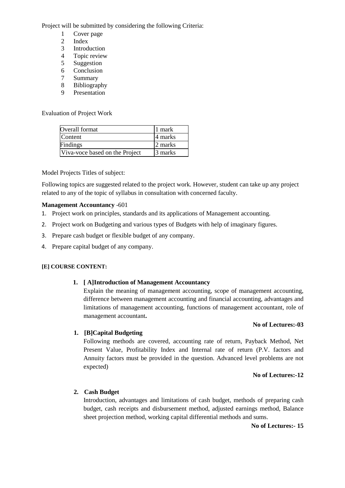Project will be submitted by considering the following Criteria:

- 1 Cover page
- 2 Index<br>3 Introdu
- **Introduction**
- 4 Topic review
- 5 Suggestion
- 6 Conclusion
- 7 Summary
- 8 Bibliography
- 9 Presentation

Evaluation of Project Work

| Overall format                 | 1 mark  |
|--------------------------------|---------|
| Content                        | 4 marks |
| Findings                       | 2 marks |
| Viva-voce based on the Project | 3 marks |

Model Projects Titles of subject:

Following topics are suggested related to the project work. However, student can take up any project related to any of the topic of syllabus in consultation with concerned faculty.

#### **Management Accountancy** -601

- 1. Project work on principles, standards and its applications of Management accounting.
- 2. Project work on Budgeting and various types of Budgets with help of imaginary figures.
- 3. Prepare cash budget or flexible budget of any company.
- 4. Prepare capital budget of any company.

#### **[E] COURSE CONTENT:**

#### **1. [ A]Introduction of Management Accountancy**

Explain the meaning of management accounting, scope of management accounting, difference between management accounting and financial accounting, advantages and limitations of management accounting, functions of management accountant, role of management accountant**.** 

#### **No of Lectures:-03**

#### **1. [B]Capital Budgeting**

Following methods are covered, accounting rate of return, Payback Method, Net Present Value, Profitability Index and Internal rate of return (P.V. factors and Annuity factors must be provided in the question. Advanced level problems are not expected)

#### **No of Lectures:-12**

#### **2. Cash Budget**

Introduction, advantages and limitations of cash budget, methods of preparing cash budget, cash receipts and disbursement method, adjusted earnings method, Balance sheet projection method, working capital differential methods and sums.

#### **No of Lectures:- 15**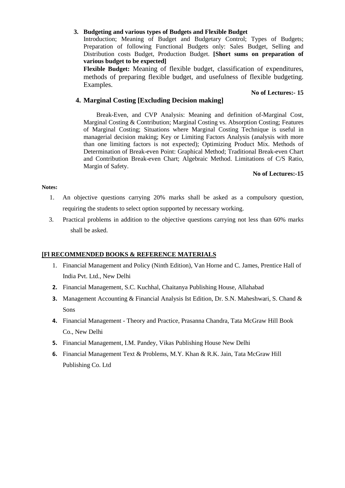#### **3. Budgeting and various types of Budgets and Flexible Budget**

Introduction; Meaning of Budget and Budgetary Control; Types of Budgets; Preparation of following Functional Budgets only: Sales Budget, Selling and Distribution costs Budget, Production Budget. **[Short sums on preparation of various budget to be expected]**

**Flexible Budget:** Meaning of flexible budget, classification of expenditures, methods of preparing flexible budget, and usefulness of flexible budgeting. Examples.

#### **No of Lectures:- 15**

#### **4. Marginal Costing [Excluding Decision making]**

Break-Even, and CVP Analysis: Meaning and definition of-Marginal Cost, Marginal Costing & Contribution; Marginal Costing vs. Absorption Costing; Features of Marginal Costing; Situations where Marginal Costing Technique is useful in managerial decision making; Key or Limiting Factors Analysis (analysis with more than one limiting factors is not expected); Optimizing Product Mix. Methods of Determination of Break-even Point: Graphical Method; Traditional Break-even Chart and Contribution Break-even Chart; Algebraic Method. Limitations of C/S Ratio, Margin of Safety.

#### **No of Lectures:-15**

#### **Notes:**

- 1. An objective questions carrying 20% marks shall be asked as a compulsory question, requiring the students to select option supported by necessary working.
- 3. Practical problems in addition to the objective questions carrying not less than 60% marks shall be asked.

#### **[Fl RECOMMENDED BOOKS & REFERENCE MATERIALS**

- 1. Financial Management and Policy (Ninth Edition), Van Horne and C. James, Prentice Hall of India Pvt. Ltd., New Delhi
- 2. Financial Management, S.C. Kuchhal, Chaitanya Publishing House, Allahabad
- 3. Management Accounting & Financial Analysis Ist Edition, Dr. S.N. Maheshwari, S. Chand & Sons
- 4. Financial Management Theory and Practice, Prasanna Chandra, Tata McGraw Hill Book Co., New Delhi
- 5. Financial Management, I.M. Pandey, Vikas Publishing House New Delhi
- 6. Financial Management Text & Problems, M.Y. Khan & R.K. Jain, Tata McGraw Hill Publishing Co. Ltd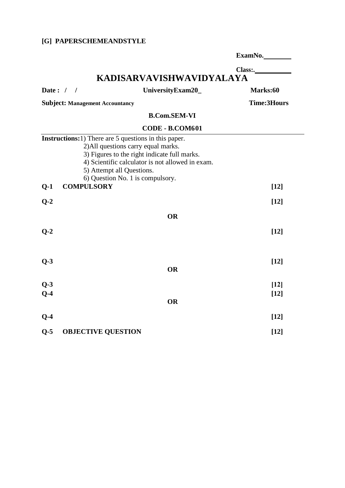## **[G] PAPERSCHEMEANDSTYLE**

|             |                                                                                                                                                                                                                                                                          | ExamNo.            |
|-------------|--------------------------------------------------------------------------------------------------------------------------------------------------------------------------------------------------------------------------------------------------------------------------|--------------------|
|             |                                                                                                                                                                                                                                                                          | Class:             |
|             | KADISARVAVISHWAVIDYALAYA                                                                                                                                                                                                                                                 |                    |
| Date: $/$ / | UniversityExam20_                                                                                                                                                                                                                                                        | Marks:60           |
|             | <b>Subject: Management Accountancy</b>                                                                                                                                                                                                                                   | <b>Time:3Hours</b> |
|             | <b>B.Com.SEM-VI</b>                                                                                                                                                                                                                                                      |                    |
|             | CODE - B.COM601                                                                                                                                                                                                                                                          |                    |
|             | <b>Instructions:</b> 1) There are 5 questions in this paper.<br>2) All questions carry equal marks.<br>3) Figures to the right indicate full marks.<br>4) Scientific calculator is not allowed in exam.<br>5) Attempt all Questions.<br>6) Question No. 1 is compulsory. |                    |
| $Q-1$       | <b>COMPULSORY</b>                                                                                                                                                                                                                                                        | $[12]$             |
| $Q-2$       |                                                                                                                                                                                                                                                                          | $[12]$             |
|             | <b>OR</b>                                                                                                                                                                                                                                                                |                    |
| $Q-2$       |                                                                                                                                                                                                                                                                          | $[12]$             |
| $Q-3$       | <b>OR</b>                                                                                                                                                                                                                                                                | $[12]$             |
| $Q-3$       |                                                                                                                                                                                                                                                                          | $[12]$             |
| $Q-4$       | <b>OR</b>                                                                                                                                                                                                                                                                | $[12]$             |
| $Q-4$       |                                                                                                                                                                                                                                                                          | $[12]$             |
| $Q-5$       | <b>OBJECTIVE QUESTION</b>                                                                                                                                                                                                                                                | $[12]$             |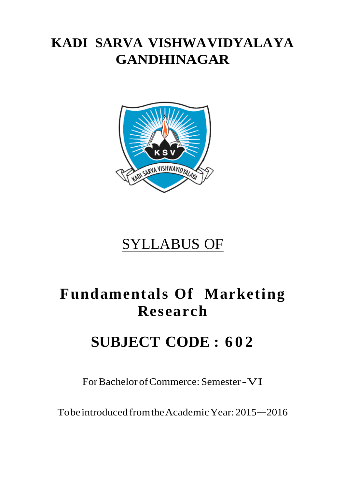# **KADI SARVA VISHWAVIDYALAYA GANDHINAGAR**



# SYLLABUS OF

# **Fundamentals Of Marketing Research**

# **SUBJECT CODE : 6 0 2**

For Bachelor of Commerce: Semester -VI

To be introduced from the Academic Year: 2015 –2016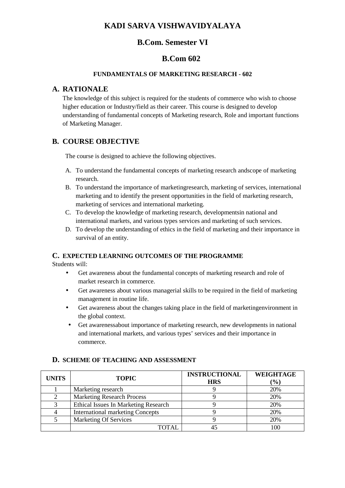## **KADI SARVA VISHWAVIDYALAYA**

## **B.Com. Semester VI**

## **B.Com 602**

#### **FUNDAMENTALS OF MARKETING RESEARCH - 602**

#### **A. RATIONALE**

The knowledge of this subject is required for the students of commerce who wish to choose higher education or Industry/field as their career. This course is designed to develop understanding of fundamental concepts of Marketing research, Role and important functions of Marketing Manager.

## **B. COURSE OBJECTIVE**

The course is designed to achieve the following objectives.

- A. To understand the fundamental concepts of marketing research andscope of marketing research.
- B. To understand the importance of marketingresearch, marketing of services, international marketing and to identify the present opportunities in the field of marketing research, marketing of services and international marketing.
- C. To develop the knowledge of marketing research, developmentsin national and international markets, and various types services and marketing of such services.
- D. To develop the understanding of ethics in the field of marketing and their importance in survival of an entity.

#### **C. EXPECTED LEARNING OUTCOMES OF THE PROGRAMME**

Students will:

- Get awareness about the fundamental concepts of marketing research and role of market research in commerce.
- Get awareness about various managerial skills to be required in the field of marketing management in routine life.
- Get awareness about the changes taking place in the field of marketingenvironment in the global context.
- Get awarenessabout importance of marketing research, new developments in national and international markets, and various types' services and their importance in commerce.

| <b>UNITS</b> | <b>TOPIC</b>                                | <b>INSTRUCTIONAL</b><br><b>HRS</b> | <b>WEIGHTAGE</b><br>$\frac{1}{2}$ |
|--------------|---------------------------------------------|------------------------------------|-----------------------------------|
|              | Marketing research                          |                                    | 20%                               |
|              | <b>Marketing Research Process</b>           |                                    | 20%                               |
|              | <b>Ethical Issues In Marketing Research</b> |                                    | 20%                               |
|              | <b>International marketing Concepts</b>     |                                    | 20%                               |
|              | <b>Marketing Of Services</b>                |                                    | 20%                               |
|              | <b>OTAL</b>                                 |                                    | 100                               |

#### **D. SCHEME OF TEACHING AND ASSESSMENT**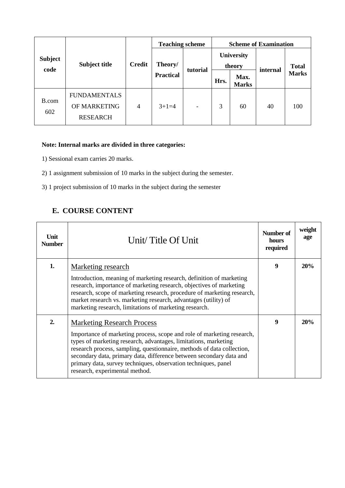| <b>Subject</b><br>code |                                                        |               | <b>Teaching scheme</b> |          | <b>Scheme of Examination</b> |                      |          |              |
|------------------------|--------------------------------------------------------|---------------|------------------------|----------|------------------------------|----------------------|----------|--------------|
|                        | <b>Subject title</b>                                   | <b>Credit</b> | Theory/                |          | University<br>theory         |                      |          | <b>Total</b> |
|                        |                                                        |               | <b>Practical</b>       | tutorial | Hrs.                         | Max.<br><b>Marks</b> | internal | <b>Marks</b> |
| B.com<br>602           | <b>FUNDAMENTALS</b><br>OF MARKETING<br><b>RESEARCH</b> | 4             | $3+1=4$                |          | 3                            | 60                   | 40       | 100          |

## **Note: Internal marks are divided in three categories:**

- 1) Sessional exam carries 20 marks.
- 2) 1 assignment submission of 10 marks in the subject during the semester.
- 3) 1 project submission of 10 marks in the subject during the semester

## **E. COURSE CONTENT**

| Unit<br><b>Number</b> | Unit/Title Of Unit                                                                                                                                                                                                                                                                                                                                                                                                                  | Number of<br>hours<br>required | weight<br>age |
|-----------------------|-------------------------------------------------------------------------------------------------------------------------------------------------------------------------------------------------------------------------------------------------------------------------------------------------------------------------------------------------------------------------------------------------------------------------------------|--------------------------------|---------------|
| 1.                    | Marketing research<br>Introduction, meaning of marketing research, definition of marketing<br>research, importance of marketing research, objectives of marketing<br>research, scope of marketing research, procedure of marketing research,<br>market research vs. marketing research, advantages (utility) of<br>marketing research, limitations of marketing research.                                                           | 9                              | 20%           |
| 2.                    | <b>Marketing Research Process</b><br>Importance of marketing process, scope and role of marketing research,<br>types of marketing research, advantages, limitations, marketing<br>research process, sampling, questionnaire, methods of data collection,<br>secondary data, primary data, difference between secondary data and<br>primary data, survey techniques, observation techniques, panel<br>research, experimental method. | 9                              | 20%           |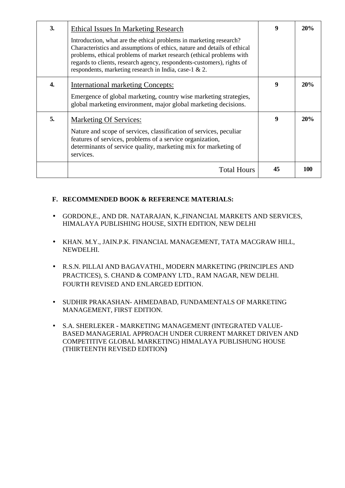| 3. | Ethical Issues In Marketing Research<br>Introduction, what are the ethical problems in marketing research?<br>Characteristics and assumptions of ethics, nature and details of ethical<br>problems, ethical problems of market research (ethical problems with<br>regards to clients, research agency, respondents-customers), rights of<br>respondents, marketing research in India, case-1 & 2. | 9  | 20% |
|----|---------------------------------------------------------------------------------------------------------------------------------------------------------------------------------------------------------------------------------------------------------------------------------------------------------------------------------------------------------------------------------------------------|----|-----|
| 4. | <b>International marketing Concepts:</b><br>Emergence of global marketing, country wise marketing strategies,<br>global marketing environment, major global marketing decisions.                                                                                                                                                                                                                  | 9  | 20% |
| 5. | <b>Marketing Of Services:</b><br>Nature and scope of services, classification of services, peculiar<br>features of services, problems of a service organization,<br>determinants of service quality, marketing mix for marketing of<br>services.                                                                                                                                                  | 9  | 20% |
|    | <b>Total Hours</b>                                                                                                                                                                                                                                                                                                                                                                                | 45 | 100 |

## **F. RECOMMENDED BOOK & REFERENCE MATERIALS:**

- GORDON,E., AND DR. NATARAJAN, K.,FINANCIAL MARKETS AND SERVICES, HIMALAYA PUBLISHING HOUSE, SIXTH EDITION, NEW DELHI
- KHAN. M.Y., JAIN.P.K. FINANCIAL MANAGEMENT, TATA MACGRAW HILL, NEWDELHI.
- R.S.N. PILLAI AND BAGAVATHI., MODERN MARKETING (PRINCIPLES AND PRACTICES), S. CHAND & COMPANY LTD., RAM NAGAR, NEW DELHI. FOURTH REVISED AND ENLARGED EDITION.
- SUDHIR PRAKASHAN- AHMEDABAD, FUNDAMENTALS OF MARKETING MANAGEMENT, FIRST EDITION.
- S.A. SHERLEKERMARKETING MANAGEMENT (INTEGRATED VALUE-BASED MANAGERIAL APPROACH UNDER CURRENT MARKET DRIVEN AND COMPETITIVE GLOBAL MARKETING) HIMALAYA PUBLISHUNG HOUSE (THIRTEENTH REVISED EDITION**)**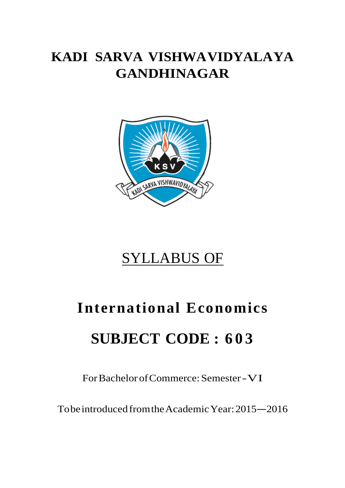# **KADI SARVA VISHWAVIDYALAYA GANDHINAGAR**



# SYLLABUS OF

# **International Economics SUBJECT CODE : 6 0 3**

For Bachelor of Commerce: Semester -VI

To be introduced from the Academic Year: 2015 –2016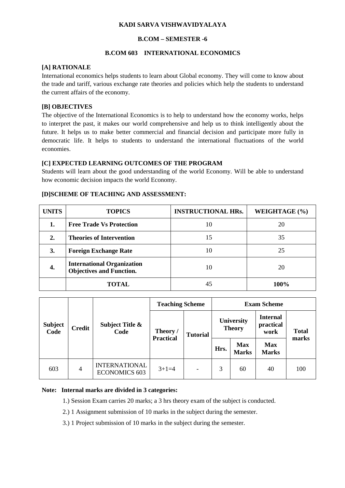#### **KADI SARVA VISHWAVIDYALAYA**

#### **B.COM – SEMESTER -6**

#### **B.COM 603 INTERNATIONAL ECONOMICS**

#### **[A] RATIONALE**

International economics helps students to learn about Global economy. They will come to know about the trade and tariff, various exchange rate theories and policies which help the students to understand the current affairs of the economy.

#### **[B] OBJECTIVES**

The objective of the International Economics is to help to understand how the economy works, helps to interpret the past, it makes our world comprehensive and help us to think intelligently about the future. It helps us to make better commercial and financial decision and participate more fully in democratic life. It helps to students to understand the international fluctuations of the world economies.

#### **[C] EXPECTED LEARNING OUTCOMES OF THE PROGRAM**

Students will learn about the good understanding of the world Economy. Will be able to understand how economic decision impacts the world Economy.

# **[D]SCHEME OF TEACHING AND ASSESSMENT:**

| <b>UNITS</b>     | <b>TOPICS</b>                                                        | <b>INSTRUCTIONAL HRs.</b> | WEIGHTAGE (%) |
|------------------|----------------------------------------------------------------------|---------------------------|---------------|
| 1.               | <b>Free Trade Vs Protection</b>                                      | 10                        | 20            |
| $\overline{2}$ . | <b>Theories of Intervention</b>                                      | 15                        | 35            |
| 3.               | <b>Foreign Exchange Rate</b>                                         | 10                        | 25            |
| 4.               | <b>International Organization</b><br><b>Objectives and Function.</b> | 10                        | 20            |
|                  | <b>TOTAL</b>                                                         | 45                        | 100%          |

|                        |               |                                              | <b>Teaching Scheme</b>       |                              |      | <b>Exam Scheme</b>          |                                      |                       |
|------------------------|---------------|----------------------------------------------|------------------------------|------------------------------|------|-----------------------------|--------------------------------------|-----------------------|
| <b>Subject</b><br>Code | <b>Credit</b> | <b>Subject Title &amp;</b><br>Code           | Theory /<br><b>Practical</b> | <b>Tutorial</b>              |      | University<br><b>Theory</b> | <b>Internal</b><br>practical<br>work | <b>Total</b><br>marks |
|                        |               |                                              |                              |                              | Hrs. | <b>Max</b><br><b>Marks</b>  | <b>Max</b><br><b>Marks</b>           |                       |
| 603                    | 4             | <b>INTERNATIONAL</b><br><b>ECONOMICS 603</b> | $3+1=4$                      | $\qquad \qquad \blacksquare$ | 3    | 60                          | 40                                   | 100                   |

#### **Note: Internal marks are divided in 3 categories:**

1.) Session Exam carries 20 marks; a 3 hrs theory exam of the subject is conducted.

2.) 1 Assignment submission of 10 marks in the subject during the semester.

3.) 1 Project submission of 10 marks in the subject during the semester.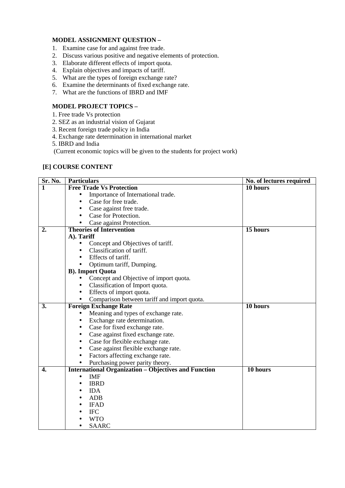### **MODEL ASSIGNMENT QUESTION –**

- 1. Examine case for and against free trade.
- 2. Discuss various positive and negative elements of protection.
- 3. Elaborate different effects of import quota.
- 4. Explain objectives and impacts of tariff.
- 5. What are the types of foreign exchange rate?
- 6. Examine the determinants of fixed exchange rate.
- 7. What are the functions of IBRD and IMF

#### **MODEL PROJECT TOPICS –**

- 1. Free trade Vs protection
- 2. SEZ as an industrial vision of Gujarat
- 3. Recent foreign trade policy in India
- 4. Exchange rate determination in international market
- 5. IBRD and India

(Current economic topics will be given to the students for project work)

#### **[E] COURSE CONTENT**

| $Sr. N0$ . | <b>Particulars</b>                                          | No. of lectures required |
|------------|-------------------------------------------------------------|--------------------------|
| 1          | <b>Free Trade Vs Protection</b>                             | 10 hours                 |
|            | Importance of International trade.                          |                          |
|            | Case for free trade.                                        |                          |
|            | Case against free trade.                                    |                          |
|            | Case for Protection.                                        |                          |
|            | Case against Protection.<br>$\bullet$                       |                          |
| 2.         | <b>Theories of Intervention</b>                             | 15 hours                 |
|            | A). Tariff                                                  |                          |
|            | Concept and Objectives of tariff.<br>٠                      |                          |
|            | Classification of tariff.<br>$\bullet$                      |                          |
|            | Effects of tariff.                                          |                          |
|            | Optimum tariff, Dumping.                                    |                          |
|            | <b>B</b> ). Import Quota                                    |                          |
|            | Concept and Objective of import quota.                      |                          |
|            | Classification of Import quota.                             |                          |
|            | Effects of import quota.                                    |                          |
|            | Comparison between tariff and import quota.                 |                          |
| 3.         | <b>Foreign Exchange Rate</b>                                | 10 hours                 |
|            | Meaning and types of exchange rate.<br>$\bullet$            |                          |
|            | Exchange rate determination.                                |                          |
|            | Case for fixed exchange rate.<br>$\bullet$                  |                          |
|            | Case against fixed exchange rate.<br>٠                      |                          |
|            | Case for flexible exchange rate.<br>٠                       |                          |
|            | Case against flexible exchange rate.<br>$\bullet$           |                          |
|            | Factors affecting exchange rate.<br>$\bullet$               |                          |
|            | Purchasing power parity theory.<br>$\bullet$                |                          |
| 4.         | <b>International Organization - Objectives and Function</b> | 10 hours                 |
|            | <b>IMF</b><br>$\bullet$                                     |                          |
|            | <b>IBRD</b>                                                 |                          |
|            | <b>IDA</b><br>$\bullet$                                     |                          |
|            | ADB<br>$\bullet$                                            |                          |
|            | <b>IFAD</b>                                                 |                          |
|            | <b>IFC</b>                                                  |                          |
|            | <b>WTO</b>                                                  |                          |
|            | <b>SAARC</b>                                                |                          |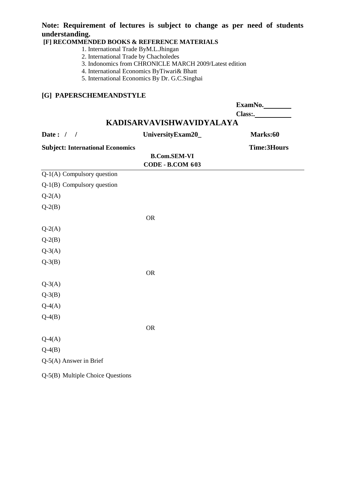## **Note: Requirement of lectures is subject to change as per need of students understanding.**

## **[F] RECOMMENDED BOOKS & REFERENCE MATERIALS**

- 1. International Trade ByM.L.Jhingan
- 2. International Trade by Chacholedes
- 3. Indonomics from CHRONICLE MARCH 2009/Latest edition
- 4. International Economics ByTiwari& Bhatt
- 5. International Economics By Dr. G.C.Singhai

## **[G] PAPERSCHEMEANDSTYLE**

|                                         |                                                | ExamNo.            |
|-----------------------------------------|------------------------------------------------|--------------------|
|                                         |                                                |                    |
|                                         | KADISARVAVISHWAVIDYALAYA                       |                    |
| Date: $/$ /                             | UniversityExam20_                              | Marks:60           |
| <b>Subject: International Economics</b> | <b>B.Com.SEM-VI</b><br><b>CODE - B.COM 603</b> | <b>Time:3Hours</b> |
| $\overline{Q-1(A)}$ Compulsory question |                                                |                    |
| Q-1(B) Compulsory question              |                                                |                    |
| $Q-2(A)$                                |                                                |                    |
| $Q-2(B)$                                |                                                |                    |
|                                         | <b>OR</b>                                      |                    |
| $Q-2(A)$                                |                                                |                    |
| $Q-2(B)$                                |                                                |                    |
| $Q-3(A)$                                |                                                |                    |
| $Q-3(B)$                                |                                                |                    |
|                                         | <b>OR</b>                                      |                    |
| $Q-3(A)$                                |                                                |                    |
| $Q-3(B)$                                |                                                |                    |
| $Q-4(A)$                                |                                                |                    |
| $Q-4(B)$                                |                                                |                    |
|                                         | <b>OR</b>                                      |                    |
| $Q-4(A)$                                |                                                |                    |
| $Q-4(B)$                                |                                                |                    |
| Q-5(A) Answer in Brief                  |                                                |                    |
| Q-5(B) Multiple Choice Questions        |                                                |                    |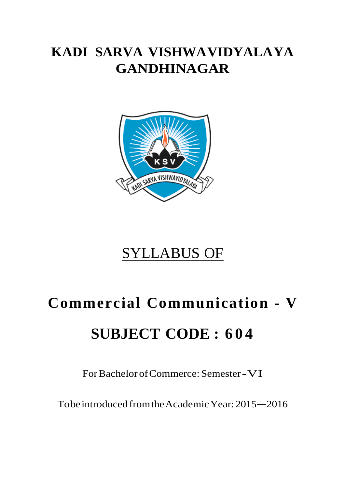# **KADI SARVA VISHWAVIDYALAYA GANDHINAGAR**



# SYLLABUS OF

# **Commercial Communication - V SUBJECT CODE : 6 0 4**

For Bachelor of Commerce: Semester -VI

To be introduced from the Academic Year: 2015 –2016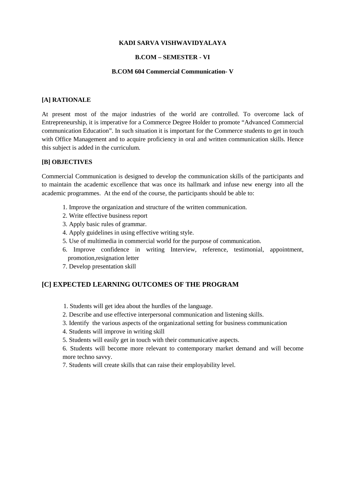#### **KADI SARVA VISHWAVIDYALAYA**

#### **B.COM – SEMESTER - VI**

#### **B.COM 604 Commercial Communication- V**

#### **[A] RATIONALE**

At present most of the major industries of the world are controlled. To overcome lack of Entrepreneurship, it is imperative for a Commerce Degree Holder to promote "Advanced Commercial communication Education". In such situation it is important for the Commerce students to get in touch with Office Management and to acquire proficiency in oral and written communication skills. Hence this subject is added in the curriculum.

#### **[B] OBJECTIVES**

Commercial Communication is designed to develop the communication skills of the participants and to maintain the academic excellence that was once its hallmark and infuse new energy into all the academic programmes. At the end of the course, the participants should be able to:

- 1. Improve the organization and structure of the written communication.
- 2. Write effective business report
- 3. Apply basic rules of grammar.
- 4. Apply guidelines in using effective writing style.
- 5. Use of multimedia in commercial world for the purpose of communication.
- 6. Improve confidence in writing Interview, reference, testimonial, appointment, promotion,resignation letter
- 7. Develop presentation skill

#### **[C] EXPECTED LEARNING OUTCOMES OF THE PROGRAM**

- 1. Students will get idea about the hurdles of the language.
- 2. Describe and use effective interpersonal communication and listening skills.
- 3. Identify the various aspects of the organizational setting for business communication
- 4. Students will improve in writing skill
- 5. Students will easily get in touch with their communicative aspects.

6. Students will become more relevant to contemporary market demand and will become more techno savvy.

7. Students will create skills that can raise their employability level.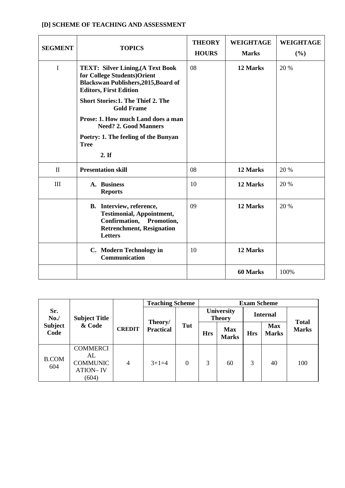| <b>SEGMENT</b>     | <b>TOPICS</b>                                                                                                                                            | <b>THEORY</b><br><b>HOURS</b> | <b>WEIGHTAGE</b><br><b>Marks</b> | <b>WEIGHTAGE</b><br>(%) |
|--------------------|----------------------------------------------------------------------------------------------------------------------------------------------------------|-------------------------------|----------------------------------|-------------------------|
| I                  | <b>TEXT: Silver Lining, (A Text Book</b><br>for College Students) Orient<br><b>Blackswan Publishers, 2015, Board of</b><br><b>Editors, First Edition</b> | 08                            | 12 Marks                         | 20 %                    |
|                    | <b>Short Stories:1. The Thief 2. The</b><br><b>Gold Frame</b>                                                                                            |                               |                                  |                         |
|                    | Prose: 1. How much Land does a man<br><b>Need? 2. Good Manners</b>                                                                                       |                               |                                  |                         |
|                    | Poetry: 1. The feeling of the Bunyan<br><b>Tree</b>                                                                                                      |                               |                                  |                         |
|                    | 2. If                                                                                                                                                    |                               |                                  |                         |
| $\mathbf{I}$       | <b>Presentation skill</b>                                                                                                                                | 08                            | 12 Marks                         | 20 %                    |
| $\mathop{\rm III}$ | A. Business<br><b>Reports</b>                                                                                                                            | 10                            | 12 Marks                         | 20 %                    |
|                    | B. Interview, reference,<br><b>Testimonial, Appointment,</b><br>Confirmation, Promotion,<br><b>Retrenchment, Resignation</b><br>Letters                  | 09                            | 12 Marks                         | 20 %                    |
|                    | C. Modern Technology in<br>Communication                                                                                                                 | 10                            | 12 Marks                         |                         |
|                    |                                                                                                                                                          |                               | <b>60 Marks</b>                  | 100%                    |

### **[D] SCHEME OF TEACHING AND ASSESSMENT**

|                        |                                                                      |                | <b>Teaching Scheme</b>      |          |            |                             | <b>Exam Scheme</b> |                            |              |
|------------------------|----------------------------------------------------------------------|----------------|-----------------------------|----------|------------|-----------------------------|--------------------|----------------------------|--------------|
| Sr.<br>No.             | <b>Subject Title</b>                                                 |                |                             |          |            | University<br><b>Theory</b> |                    | <b>Internal</b>            | <b>Total</b> |
| <b>Subject</b><br>Code | & Code                                                               | <b>CREDIT</b>  | Theory/<br><b>Practical</b> | Tut      | <b>Hrs</b> | <b>Max</b><br><b>Marks</b>  | <b>Hrs</b>         | <b>Max</b><br><b>Marks</b> | <b>Marks</b> |
| <b>B.COM</b><br>604    | <b>COMMERCI</b><br>AL<br><b>COMMUNIC</b><br><b>ATION-IV</b><br>(604) | $\overline{4}$ | $3+1=4$                     | $\Omega$ | 3          | 60                          | 3                  | 40                         | 100          |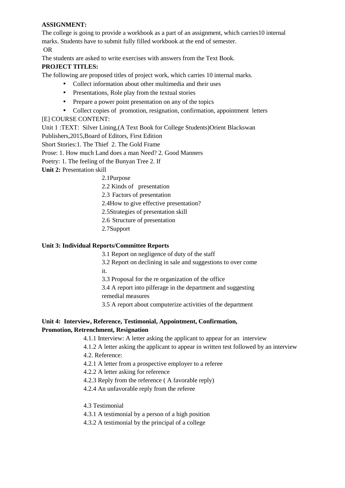#### **ASSIGNMENT:**

The college is going to provide a workbook as a part of an assignment, which carries10 internal marks. Students have to submit fully filled workbook at the end of semester.

OR

The students are asked to write exercises with answers from the Text Book.

#### **PROJECT TITLES:**

The following are proposed titles of project work, which carries 10 internal marks.

- Collect information about other multimedia and their uses
- Presentations, Role play from the textual stories
- Prepare a power point presentation on any of the topics
- Collect copies of promotion, resignation, confirmation, appointment letters

#### [E] COURSE CONTENT:

Unit 1 :TEXT: Silver Lining,(A Text Book for College Students)Orient Blackswan

Publishers,2015,Board of Editors, First Edition

Short Stories:1. The Thief 2. The Gold Frame

Prose: 1. How much Land does a man Need? 2. Good Manners

Poetry: 1. The feeling of the Bunyan Tree 2. If

**Unit 2:** Presentation skill

- 2.1Purpose
- 2.2 Kinds of presentation

2.3 Factors of presentation

2.4How to give effective presentation?

- 2.5Strategies of presentation skill
- 2.6 Structure of presentation
- 2.7Support

#### **Unit 3: Individual Reports/Committee Reports**

3.1 Report on negligence of duty of the staff

3.2 Report on declining in sale and suggestions to over come it.

3.3 Proposal for the re organization of the office

3.4 A report into pilferage in the department and suggesting remedial measures

3.5 A report about computerize activities of the department

#### **Unit 4: Interview, Reference, Testimonial, Appointment, Confirmation, Promotion, Retrenchment, Resignation**

4.1.1 Interview: A letter asking the applicant to appear for an interview

4.1.2 A letter asking the applicant to appear in written test followed by an interview

4.2. Reference:

4.2.1 A letter from a prospective employer to a referee

4.2.2 A letter asking for reference

4.2.3 Reply from the reference ( A favorable reply)

4.2.4 An unfavorable reply from the referee

- 4.3 Testimonial
- 4.3.1 A testimonial by a person of a high position
- 4.3.2 A testimonial by the principal of a college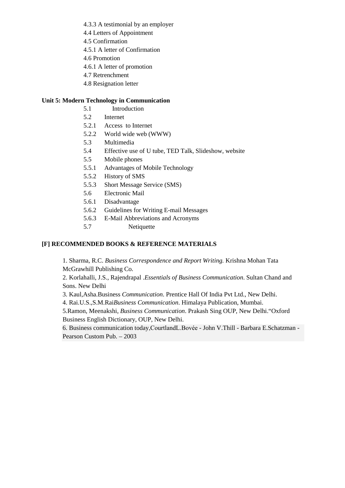- 4.3.3 A testimonial by an employer
- 4.4 Letters of Appointment
- 4.5 Confirmation
- 4.5.1 A letter of Confirmation
- 4.6 Promotion
- 4.6.1 A letter of promotion
- 4.7 Retrenchment
- 4.8 Resignation letter

#### **Unit 5: Modern Technology in Communication**

- 5.1 Introduction
- 5.2 Internet
- 5.2.1 Access to Internet
- 5.2.2 World wide web (WWW)
- 5.3 Multimedia
- 5.4 Effective use of U tube, TED Talk, Slideshow, website
- 5.5 Mobile phones
- 5.5.1 Advantages of Mobile Technology
- 5.5.2 History of SMS
- 5.5.3 Short Message Service (SMS)
- 5.6 Electronic Mail
- 5.6.1 Disadvantage
- 5.6.2 Guidelines for Writing E-mail Messages
- 5.6.3 E-Mail Abbreviations and Acronyms
- 5.7 Netiquette

#### **[F] RECOMMENDED BOOKS & REFERENCE MATERIALS**

1. Sharma, R.C. *Business Correspondence and Report Writing.* Krishna Mohan Tata McGrawhill Publishing Co.

2. Korlahalli, J.S., Rajendrapal .*Essentials of Business Communication*. Sultan Chand and Sons. New Delhi

3. Kaul,Asha.Business *Communication*. Prentice Hall Of India Pvt Ltd., New Delhi.

4. Rai.U.S.,S.M.Rai*Business Communication*. Himalaya Publication, Mumbai.

5.Ramon, Meenakshi, *Business Communication*. Prakash Sing OUP, New Delhi."Oxford Business English Dictionary, OUP, New Delhi.

6. Business communication today,CourtlandL.Bovée - John V.Thill - Barbara E.Schatzman - Pearson Custom Pub. – 2003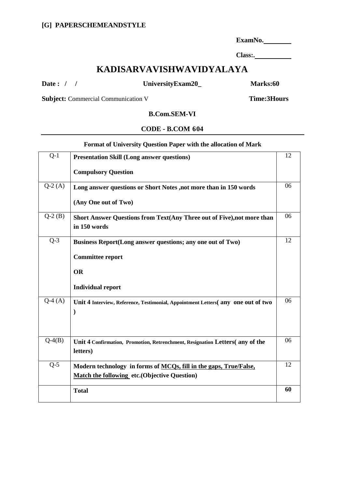**ExamNo.** 

**Class:.** 

# **KADISARVAVISHWAVIDYALAYA**

**Date : / / UniversityExam20\_ Marks:60** 

**Subject:** Commercial Communication V Time: 3Hours

#### **B.Com.SEM-VI**

#### **CODE - B.COM 604**

#### **Format of University Question Paper with the allocation of Mark**

| <b>Compulsory Question</b><br>$Q-2(A)$<br>Long answer questions or Short Notes , not more than in 150 words<br>(Any One out of Two)<br>$Q-2(B)$<br>Short Answer Questions from Text(Any Three out of Five), not more than<br>in 150 words<br>$Q-3$<br>Business Report(Long answer questions; any one out of Two)<br><b>Committee report</b><br><b>OR</b><br><b>Individual report</b><br>$\overline{Q}$ -4 $(A)$<br>Unit 4 Interview, Reference, Testimonial, Appointment Letters(any one out of two<br>$\mathcal{E}$<br>$Q-4(B)$<br>Unit 4 Confirmation, Promotion, Retrenchment, Resignation Letters(any of the<br>letters) | $Q-1$ | <b>Presentation Skill (Long answer questions)</b> | 12 |
|------------------------------------------------------------------------------------------------------------------------------------------------------------------------------------------------------------------------------------------------------------------------------------------------------------------------------------------------------------------------------------------------------------------------------------------------------------------------------------------------------------------------------------------------------------------------------------------------------------------------------|-------|---------------------------------------------------|----|
|                                                                                                                                                                                                                                                                                                                                                                                                                                                                                                                                                                                                                              |       |                                                   |    |
|                                                                                                                                                                                                                                                                                                                                                                                                                                                                                                                                                                                                                              |       |                                                   | 06 |
|                                                                                                                                                                                                                                                                                                                                                                                                                                                                                                                                                                                                                              |       |                                                   |    |
|                                                                                                                                                                                                                                                                                                                                                                                                                                                                                                                                                                                                                              |       |                                                   | 06 |
|                                                                                                                                                                                                                                                                                                                                                                                                                                                                                                                                                                                                                              |       |                                                   | 12 |
|                                                                                                                                                                                                                                                                                                                                                                                                                                                                                                                                                                                                                              |       |                                                   |    |
|                                                                                                                                                                                                                                                                                                                                                                                                                                                                                                                                                                                                                              |       |                                                   |    |
|                                                                                                                                                                                                                                                                                                                                                                                                                                                                                                                                                                                                                              |       |                                                   |    |
|                                                                                                                                                                                                                                                                                                                                                                                                                                                                                                                                                                                                                              |       |                                                   | 06 |
|                                                                                                                                                                                                                                                                                                                                                                                                                                                                                                                                                                                                                              |       |                                                   | 06 |
| $Q-5$<br>Modern technology in forms of MCQs, fill in the gaps, True/False,<br><b>Match the following etc. (Objective Question)</b>                                                                                                                                                                                                                                                                                                                                                                                                                                                                                           |       |                                                   | 12 |
| <b>Total</b>                                                                                                                                                                                                                                                                                                                                                                                                                                                                                                                                                                                                                 |       |                                                   | 60 |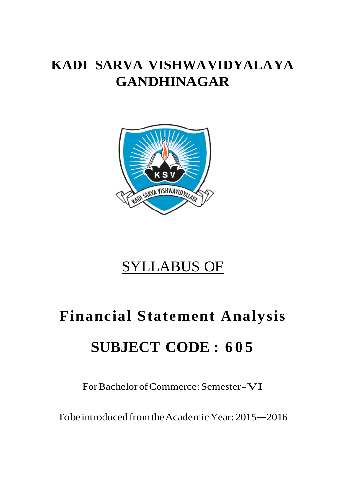# **KADI SARVA VISHWAVIDYALAYA GANDHINAGAR**



# SYLLABUS OF

# **Financial Statement Analysis SUBJECT CODE : 6 0 5**

For Bachelor of Commerce: Semester -VI

To be introduced from the Academic Year: 2015 –2016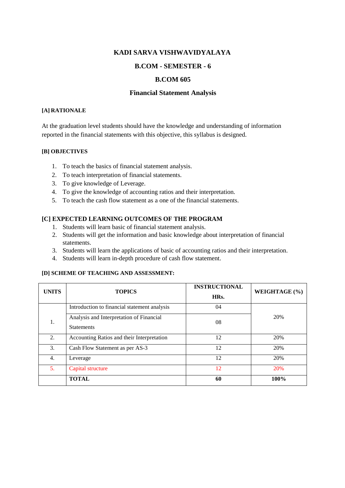#### **KADI SARVA VISHWAVIDYALAYA**

#### **B.COM - SEMESTER - 6**

#### **B.COM 605**

#### **Financial Statement Analysis**

#### **[A] RATIONALE**

At the graduation level students should have the knowledge and understanding of information reported in the financial statements with this objective, this syllabus is designed.

#### **[B] OBJECTIVES**

- 1. To teach the basics of financial statement analysis.
- 2. To teach interpretation of financial statements.
- 3. To give knowledge of Leverage.
- 4. To give the knowledge of accounting ratios and their interpretation.
- 5. To teach the cash flow statement as a one of the financial statements.

#### **[C] EXPECTED LEARNING OUTCOMES OF THE PROGRAM**

- 1. Students will learn basic of financial statement analysis.
- 2. Students will get the information and basic knowledge about interpretation of financial statements.
- 3. Students will learn the applications of basic of accounting ratios and their interpretation.
- 4. Students will learn in-depth procedure of cash flow statement.

#### **[D] SCHEME OF TEACHING AND ASSESSMENT:**

| <b>UNITS</b> | <b>TOPICS</b>                                                 | <b>INSTRUCTIONAL</b><br>HRs. | WEIGHTAGE (%) |
|--------------|---------------------------------------------------------------|------------------------------|---------------|
|              | Introduction to financial statement analysis                  | 04                           |               |
| 1.           | Analysis and Interpretation of Financial<br><b>Statements</b> | 08                           | 20%           |
| 2.           | Accounting Ratios and their Interpretation                    | 12                           | 20%           |
| 3.           | Cash Flow Statement as per AS-3                               | 12                           | 20%           |
| 4.           | Leverage                                                      | 12                           | 20%           |
| 5.           | Capital structure                                             | 12                           | 20%           |
|              | <b>TOTAL</b>                                                  | 60                           | 100%          |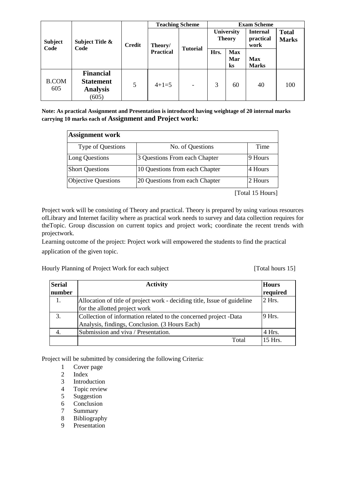|                        |                                                                  |               | <b>Teaching Scheme</b> |                 |      |                                    | <b>Exam Scheme</b>                   |                              |
|------------------------|------------------------------------------------------------------|---------------|------------------------|-----------------|------|------------------------------------|--------------------------------------|------------------------------|
| <b>Subject</b><br>Code | Subject Title &<br>Code                                          | <b>Credit</b> | Theory/                | <b>Tutorial</b> |      | <b>University</b><br><b>Theory</b> | <b>Internal</b><br>practical<br>work | <b>Total</b><br><b>Marks</b> |
|                        |                                                                  |               | <b>Practical</b>       |                 | Hrs. | <b>Max</b><br>Mar<br>$\bf ks$      | <b>Max</b><br><b>Marks</b>           |                              |
| <b>B.COM</b><br>605    | <b>Financial</b><br><b>Statement</b><br><b>Analysis</b><br>(605) | 5             | $4+1=5$                |                 | 3    | 60                                 | 40                                   | 100                          |

**Note: As practical Assignment and Presentation is introduced having weightage of 20 internal marks carrying 10 marks each of Assignment and Project work:** 

| <b>Assignment work</b>     |                                |          |  |  |  |
|----------------------------|--------------------------------|----------|--|--|--|
| Type of Questions          | No. of Questions               | Time     |  |  |  |
| Long Questions             | 3 Questions From each Chapter  | 19 Hours |  |  |  |
| <b>Short Questions</b>     | 10 Questions from each Chapter | 4 Hours  |  |  |  |
| <b>Objective Questions</b> | 20 Questions from each Chapter | 2 Hours  |  |  |  |

[Total 15 Hours]

Project work will be consisting of Theory and practical. Theory is prepared by using various resources ofLibrary and Internet facility where as practical work needs to survey and data collection requires for theTopic. Group discussion on current topics and project work; coordinate the recent trends with projectwork.

Learning outcome of the project: Project work will empowered the students to find the practical application of the given topic.

Hourly Planning of Project Work for each subject [Total hours 15]

| <b>Serial</b><br>number | <b>Activity</b>                                                                                   |                      |  |  |  |
|-------------------------|---------------------------------------------------------------------------------------------------|----------------------|--|--|--|
| 1.                      | Allocation of title of project work - deciding title, Issue of guideline                          | required<br>$2$ Hrs. |  |  |  |
| 3.                      | for the allotted project work<br>Collection of information related to the concerned project -Data | 9 Hrs.               |  |  |  |
| 4.                      | Analysis, findings, Conclusion. (3 Hours Each)<br>Submission and viva / Presentation.             | 4 Hrs.               |  |  |  |
|                         | Total                                                                                             | $15$ Hrs.            |  |  |  |

Project will be submitted by considering the following Criteria:

- 1 Cover page<br>2 Index
- **Index**
- 3 Introduction
- 
- 4 Topic review<br>5 Suggestion Suggestion
- 6 Conclusion
- 7 Summary
- 8 Bibliography
- 9 Presentation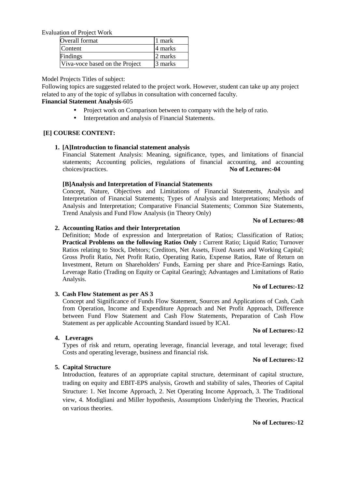Evaluation of Project Work

| Overall format                 | 1 mark  |
|--------------------------------|---------|
| Content                        | 4 marks |
| Findings                       | 2 marks |
| Viva-voce based on the Project | 3 marks |

Model Projects Titles of subject:

Following topics are suggested related to the project work. However, student can take up any project related to any of the topic of syllabus in consultation with concerned faculty.

#### **Financial Statement Analysis**-605

- Project work on Comparison between to company with the help of ratio.
- Interpretation and analysis of Financial Statements.

#### **[E] COURSE CONTENT:**

#### **1. [A]Introduction to financial statement analysis**

Financial Statement Analysis: Meaning, significance, types, and limitations of financial statements; Accounting policies, regulations of financial accounting, and accounting choices/practices. **No of Lectures:-04** 

#### **[B]Analysis and Interpretation of Financial Statements**

Concept, Nature, Objectives and Limitations of Financial Statements, Analysis and Interpretation of Financial Statements; Types of Analysis and Interpretations; Methods of Analysis and Interpretation; Comparative Financial Statements; Common Size Statements, Trend Analysis and Fund Flow Analysis (in Theory Only)

#### **No of Lectures:-08**

#### **2. Accounting Ratios and their Interpretation**

Definition; Mode of expression and Interpretation of Ratios; Classification of Ratios; **Practical Problems on the following Ratios Only: Current Ratio; Liquid Ratio; Turnover** Ratios relating to Stock, Debtors; Creditors, Net Assets, Fixed Assets and Working Capital; Gross Profit Ratio, Net Profit Ratio, Operating Ratio, Expense Ratios, Rate of Return on Investment, Return on Shareholders' Funds, Earning per share and Price-Earnings Ratio, Leverage Ratio (Trading on Equity or Capital Gearing); Advantages and Limitations of Ratio Analysis.

#### **No of Lectures:-12**

#### **3. Cash Flow Statement as per AS 3**

Concept and Significance of Funds Flow Statement, Sources and Applications of Cash, Cash from Operation, Income and Expenditure Approach and Net Profit Approach, Difference between Fund Flow Statement and Cash Flow Statements, Preparation of Cash Flow Statement as per applicable Accounting Standard issued by ICAI.

#### **No of Lectures:-12**

**4. Leverages**  Types of risk and return, operating leverage, financial leverage, and total leverage; fixed Costs and operating leverage, business and financial risk.

#### **No of Lectures:-12**

#### **5. Capital Structure**

Introduction, features of an appropriate capital structure, determinant of capital structure, trading on equity and EBIT-EPS analysis, Growth and stability of sales, Theories of Capital Structure: 1. Net Income Approach, 2. Net Operating Income Approach, 3. The Traditional view, 4. Modigliani and Miller hypothesis, Assumptions Underlying the Theories, Practical on various theories.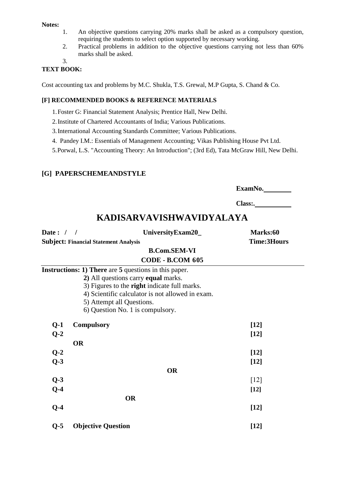#### **Notes:**

- 1. An objective questions carrying 20% marks shall be asked as a compulsory question, requiring the students to select option supported by necessary working.
- 2. Practical problems in addition to the objective questions carrying not less than 60% marks shall be asked.

3.

#### **TEXT BOOK:**

Cost accounting tax and problems by M.C. Shukla, T.S. Grewal, M.P Gupta, S. Chand & Co.

#### **[F] RECOMMENDED BOOKS & REFERENCE MATERIALS**

- 1.Foster G: Financial Statement Analysis; Prentice Hall, New Delhi.
- 2.Institute of Chartered Accountants of India; Various Publications.
- 3.International Accounting Standards Committee; Various Publications.
- 4. Pandey I.M.: Essentials of Management Accounting; Vikas Publishing House Pvt Ltd.

5.Porwal, L.S. "Accounting Theory: An Introduction"; (3rd Ed), Tata McGraw Hill, New Delhi.

#### **[G] PAPERSCHEMEANDSTYLE**

**ExamNo.** 

**Class:.** 

## **KADISARVAVISHWAVIDYALAYA**

| Date: $/$ / |                                                              | UniversityExam20_       | Marks:60           |
|-------------|--------------------------------------------------------------|-------------------------|--------------------|
|             | <b>Subject: Financial Statement Analysis</b>                 |                         | <b>Time:3Hours</b> |
|             |                                                              | <b>B.Com.SEM-VI</b>     |                    |
|             |                                                              | <b>CODE - B.COM 605</b> |                    |
|             | <b>Instructions: 1) There</b> are 5 questions in this paper. |                         |                    |
|             | 2) All questions carry equal marks.                          |                         |                    |
|             | 3) Figures to the right indicate full marks.                 |                         |                    |
|             | 4) Scientific calculator is not allowed in exam.             |                         |                    |
|             | 5) Attempt all Questions.                                    |                         |                    |
|             | 6) Question No. 1 is compulsory.                             |                         |                    |
| $Q-1$       | <b>Compulsory</b>                                            |                         | $[12]$             |
| $Q-2$       |                                                              |                         | $[12]$             |
|             | <b>OR</b>                                                    |                         |                    |
| $Q-2$       |                                                              |                         | $[12]$             |
| $Q-3$       |                                                              |                         | $[12]$             |
|             |                                                              | <b>OR</b>               |                    |
| $Q-3$       |                                                              |                         | $\lceil 12 \rceil$ |
| $Q-4$       |                                                              |                         | $[12]$             |
|             | <b>OR</b>                                                    |                         |                    |
| $Q-4$       |                                                              |                         | $[12]$             |
| $Q-5$       | <b>Objective Question</b>                                    |                         | $[12]$             |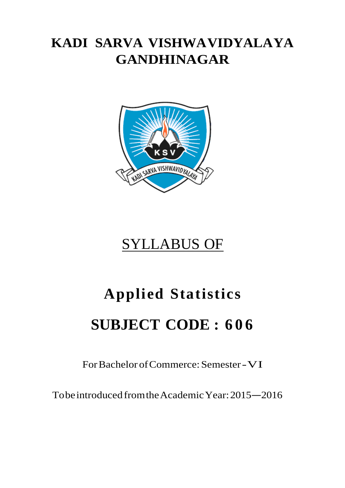# **KADI SARVA VISHWAVIDYALAYA GANDHINAGAR**



# SYLLABUS OF

# **Applied Statistics SUBJECT CODE : 6 0 6**

For Bachelor of Commerce: Semester -VI

To be introduced from the Academic Year: 2015 –2016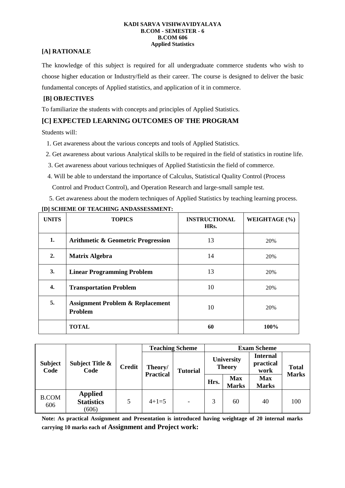#### **KADI SARVA VISHWAVIDYALAYA B.COM - SEMESTER - 6 B.COM 606 Applied Statistics**

#### **[A] RATIONALE**

The knowledge of this subject is required for all undergraduate commerce students who wish to choose higher education or Industry/field as their career. The course is designed to deliver the basic fundamental concepts of Applied statistics, and application of it in commerce.

#### **[B] OBJECTIVES**

To familiarize the students with concepts and principles of Applied Statistics.

#### **[C] EXPECTED LEARNING OUTCOMES OF THE PROGRAM**

Students will:

- 1. Get awareness about the various concepts and tools of Applied Statistics.
- 2. Get awareness about various Analytical skills to be required in the field of statistics in routine life.
- 3. Get awareness about various techniques of Applied Statisticsin the field of commerce.
- 4. Will be able to understand the importance of Calculus, Statistical Quality Control (Process Control and Product Control), and Operation Research and large-small sample test.
- 5. Get awareness about the modern techniques of Applied Statistics by teaching learning process.

| <b>UNITS</b> | <b>TOPICS</b>                                                 | <b>INSTRUCTIONAL</b><br>HRs. | WEIGHTAGE (%) |
|--------------|---------------------------------------------------------------|------------------------------|---------------|
| 1.           | <b>Arithmetic &amp; Geometric Progression</b>                 | 13                           | 20%           |
| 2.           | <b>Matrix Algebra</b>                                         | 14                           | 20%           |
| 3.           | <b>Linear Programming Problem</b>                             | 13                           | 20%           |
| 4.           | <b>Transportation Problem</b>                                 | 10                           | 20%           |
| 5.           | <b>Assignment Problem &amp; Replacement</b><br><b>Problem</b> | 10                           | 20%           |
|              | <b>TOTAL</b>                                                  | 60                           | 100%          |

#### **[D] SCHEME OF TEACHING ANDASSESSMENT:**

| <b>Subject</b><br>Code | Subject Title &<br>Code                      | <b>Credit</b> | <b>Teaching Scheme</b>      |                   | <b>Exam Scheme</b>                 |                            |                                      |                              |
|------------------------|----------------------------------------------|---------------|-----------------------------|-------------------|------------------------------------|----------------------------|--------------------------------------|------------------------------|
|                        |                                              |               | Theory/<br><b>Practical</b> | <b>Tutorial</b>   | <b>University</b><br><b>Theory</b> |                            | <b>Internal</b><br>practical<br>work | <b>Total</b><br><b>Marks</b> |
|                        |                                              |               |                             |                   | Hrs.                               | <b>Max</b><br><b>Marks</b> | <b>Max</b><br><b>Marks</b>           |                              |
| <b>B.COM</b><br>606    | <b>Applied</b><br><b>Statistics</b><br>(606) | 5             | $4+1=5$                     | $\qquad \qquad -$ | 3                                  | 60                         | 40                                   | 100                          |

**Note: As practical Assignment and Presentation is introduced having weightage of 20 internal marks carrying 10 marks each of Assignment and Project work:**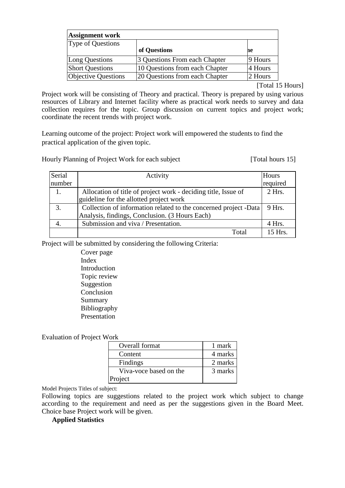| <b>Assignment work</b>     |                                |         |  |  |  |
|----------------------------|--------------------------------|---------|--|--|--|
| Type of Questions          |                                |         |  |  |  |
|                            | of Questions                   | ne      |  |  |  |
| Long Questions             | 3 Questions From each Chapter  | 9 Hours |  |  |  |
| <b>Short Questions</b>     | 10 Questions from each Chapter | 4 Hours |  |  |  |
| <b>Objective Questions</b> | 20 Questions from each Chapter | 2 Hours |  |  |  |

[Total 15 Hours]

Project work will be consisting of Theory and practical. Theory is prepared by using various resources of Library and Internet facility where as practical work needs to survey and data collection requires for the topic. Group discussion on current topics and project work; coordinate the recent trends with project work.

Learning outcome of the project: Project work will empowered the students to find the practical application of the given topic.

Hourly Planning of Project Work for each subject [Total hours 15]

| Serial | Activity                                                         | Hours     |
|--------|------------------------------------------------------------------|-----------|
| number |                                                                  | required  |
| 1.     | Allocation of title of project work - deciding title, Issue of   | $2$ Hrs.  |
|        | guideline for the allotted project work                          |           |
| 3.     | Collection of information related to the concerned project -Data | 9 Hrs.    |
|        | Analysis, findings, Conclusion. (3 Hours Each)                   |           |
|        | Submission and viva / Presentation.                              | 4 Hrs.    |
|        | Total                                                            | $15$ Hrs. |

Project will be submitted by considering the following Criteria:

Cover page Index Introduction Topic review Suggestion Conclusion Summary Bibliography Presentation

Evaluation of Project Work

| Overall format         | 1 mark  |
|------------------------|---------|
| Content                | 4 marks |
| Findings               | 2 marks |
| Viva-voce based on the | 3 marks |
| Project                |         |

Model Projects Titles of subject:

Following topics are suggestions related to the project work which subject to change according to the requirement and need as per the suggestions given in the Board Meet. Choice base Project work will be given.

#### **Applied Statistics**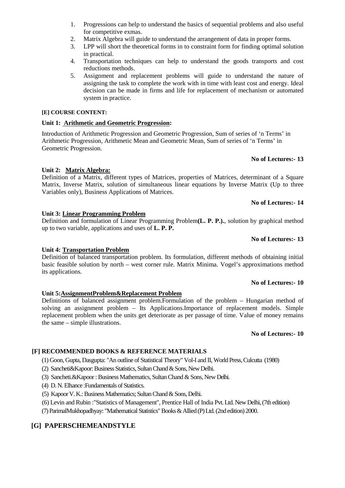- 1. Progressions can help to understand the basics of sequential problems and also useful for competitive exmas.
- 2. Matrix Algebra will guide to understand the arrangement of data in proper forms.
- 3. LPP will short the theoretical forms in to constraint form for finding optimal solution in practical.
- 4. Transportation techniques can help to understand the goods transports and cost reductions methods.
- 5. Assignment and replacement problems will guide to understand the nature of assigning the task to complete the work with in time with least cost and energy. Ideal decision can be made in firms and life for replacement of mechanism or automated system in practice.

## **[E] COURSE CONTENT:**

## **Unit 1: Arithmetic and Geometric Progression:**

Introduction of Arithmetic Progression and Geometric Progression, Sum of series of 'n Terms' in Arithmetic Progression, Arithmetic Mean and Geometric Mean, Sum of series of 'n Terms' in Geometric Progression.

## **No of Lectures:- 13**

# **Unit 2: Matrix Algebra:**

Definition of a Matrix, different types of Matrices, properties of Matrices, determinant of a Square Matrix, Inverse Matrix, solution of simultaneous linear equations by Inverse Matrix (Up to three Variables only), Business Applications of Matrices.

**No of Lectures:- 14** 

## **Unit 3: Linear Programming Problem**

Definition and formulation of Linear Programming Problem**(L. P. P.).**, solution by graphical method up to two variable, applications and uses of **L. P. P.** 

## **No of Lectures:- 13**

## **Unit 4: Transportation Problem**

Definition of balanced transportation problem. Its formulation, different methods of obtaining initial basic feasible solution by north – west corner rule. Matrix Minima. Vogel's approximations method its applications.

## **No of Lectures:- 10**

## **Unit 5:AssignmentProblem&Replacement Problem**

Definitions of balanced assignment problem.Formulation of the problem – Hungarian method of solving an assignment problem – Its Applications.Importance of replacement models. Simple replacement problem when the units get deteriorate as per passage of time. Value of money remains the same – simple illustrations.

## **No of Lectures:- 10**

## **[F] RECOMMENDED BOOKS & REFERENCE MATERIALS**

- (1) Goon, Gupta, Dasgupta: "An outline of Statistical Theory" Vol-I and II, World Press, Culcutta (1980)
- (2) Sancheti&Kapoor: Business Statistics, Sultan Chand & Sons, New Delhi.
- (3) Sancheti.&Kapoor : Business Mathematics, Sultan Chand & Sons, New Delhi.
- (4) D. N. Elhance :Fundamentals of Statistics.
- (5) Kapoor V. K.: Business Mathematics; Sultan Chand & Sons, Delhi.
- (6) Levin and Rubin :"Statistics of Management", Prentice Hall of India Pvt. Ltd. New Delhi, (7th edition)

(7) ParimalMukhopadhyay: "Mathematical Statistics" Books & Allied (P) Ltd. (2nd edition) 2000.

## **[G] PAPERSCHEMEANDSTYLE**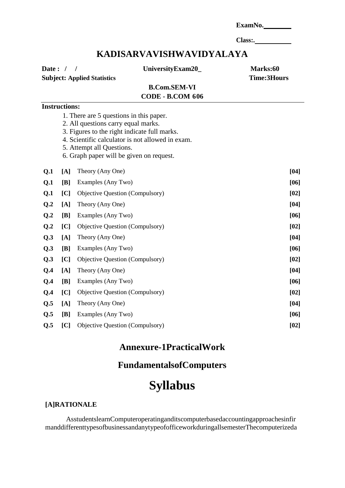|                                                   |                      |                                                                                                                                                                                                         |                                                                     | ExamNo.                        |
|---------------------------------------------------|----------------------|---------------------------------------------------------------------------------------------------------------------------------------------------------------------------------------------------------|---------------------------------------------------------------------|--------------------------------|
|                                                   |                      |                                                                                                                                                                                                         |                                                                     |                                |
|                                                   |                      |                                                                                                                                                                                                         | KADISARVAVISHWAVIDYALAYA                                            |                                |
| Date: $/$ /<br><b>Subject: Applied Statistics</b> |                      |                                                                                                                                                                                                         | UniversityExam20_<br><b>B.Com.SEM-VI</b><br><b>CODE - B.COM 606</b> | Marks:60<br><b>Time:3Hours</b> |
|                                                   | <b>Instructions:</b> |                                                                                                                                                                                                         |                                                                     |                                |
|                                                   |                      | 1. There are 5 questions in this paper.<br>2. All questions carry equal marks.<br>3. Figures to the right indicate full marks.<br>5. Attempt all Questions.<br>6. Graph paper will be given on request. | 4. Scientific calculator is not allowed in exam.                    |                                |
| Q.1                                               | [A]                  | Theory (Any One)                                                                                                                                                                                        |                                                                     | [04]                           |
| Q.1                                               | [B]                  | Examples (Any Two)                                                                                                                                                                                      |                                                                     | [06]                           |
| Q <sub>1</sub>                                    | [C]                  | Objective Question (Compulsory)                                                                                                                                                                         |                                                                     | [02]                           |
| Q.2                                               | [A]                  | Theory (Any One)                                                                                                                                                                                        |                                                                     | [04]                           |
| Q.2                                               | [B]                  | Examples (Any Two)                                                                                                                                                                                      |                                                                     | $[06]$                         |
| Q.2                                               | [C]                  | Objective Question (Compulsory)                                                                                                                                                                         |                                                                     | [02]                           |
| Q.3                                               | [A]                  | Theory (Any One)                                                                                                                                                                                        |                                                                     | $[04]$                         |
| Q.3                                               | [B]                  | Examples (Any Two)                                                                                                                                                                                      |                                                                     | [06]                           |
| Q.3                                               | [C]                  | Objective Question (Compulsory)                                                                                                                                                                         |                                                                     | [02]                           |
| Q.4                                               | [A]                  | Theory (Any One)                                                                                                                                                                                        |                                                                     | [04]                           |
| Q.4                                               |                      | [B] Examples (Any Two)                                                                                                                                                                                  |                                                                     | $[06]$                         |
| Q.4                                               | [C]                  | Objective Question (Compulsory)                                                                                                                                                                         |                                                                     | [02]                           |
| Q.5                                               | [A]                  | Theory (Any One)                                                                                                                                                                                        |                                                                     | $[04]$                         |
| Q.5                                               | [B]                  | Examples (Any Two)                                                                                                                                                                                      |                                                                     | $[06]$                         |
| Q.5                                               | [C]                  | Objective Question (Compulsory)                                                                                                                                                                         |                                                                     | [02]                           |

# **Annexure-1PracticalWork**

## **FundamentalsofComputers**

# **Syllabus**

## **[A]RATIONALE**

AsstudentslearnComputeroperatinganditscomputerbasedaccountingapproachesinfir manddifferenttypesofbusinessandanytypeofofficeworkduringallsemesterThecomputerizeda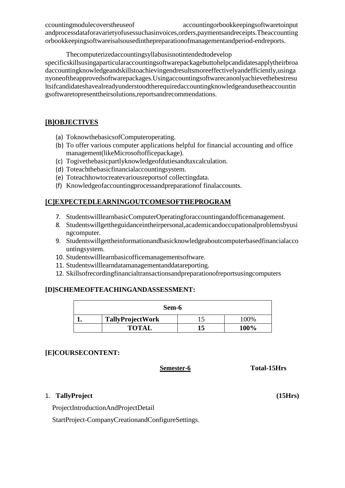ccountingmodulecoverstheuseof accountingorbookkeepingsoftwaretoinput andprocessdataforavarietyofusessuchasinvoices,orders,paymentsandreceipts.Theaccounting orbookkeepingsoftwareisalsousedinthepreparationofmanagementandperiod-endreports.

Thecomputerizedaccountingsyllabusisnotintendedtodevelop

specificskillsusingaparticularaccountingsoftwarepackagebuttohelpcandidatesapplytheirbroa daccountingknowledgeandskillstoachievingendresultsmoreeffectivelyandefficiently,usinga nyoneoftheapprovedsoftwarepackages.Usingaccountingsoftwarecanonlyachievethebestresu ltsifcandidateshavealreadyunderstoodtherequiredaccountingknowledgeandusetheaccountin gsoftwaretopresenttheirsolutions,reportsandrecommendations.

## **[B]OBJECTIVES**

- (a) ToknowthebasicsofComputeroperating.
- (b) To offer various computer applications helpful for financial accounting and office management(likeMicrosoftofficepackage).
- (c) Togivethebasicpartlyknowledgeofdutiesandtaxcalculation.
- (d) Toteachthebasicfinancialaccountingsystem.
- (e) Toteachhowtocreatevariousreportsof collectingdata.
- (f) Knowledgeofaccountingprocessandpreparationof finalaccounts.

#### **[C]EXPECTEDLEARNINGOUTCOMESOFTHEPROGRAM**

- 7. StudentswilllearnbasicComputerOperatingforaccountingandofficemanagement.
- 8. Studentswillgettheguidanceintheirpersonal,academicandoccupationalproblemsbyusi ngcomputer.
- 9. Studentswillgettheinformationandbasicknowledgeaboutcomputerbasedfinancialacco untingsystem.
- 10. Studentswilllearnbasicofficemanagementsoftware.
- 11. Studentswilllearndatamanagementanddatareporting.
- 12. Skillsofrecordingfinancialtransactionsandpreparationofreportsusingcomputers

#### **[D]SCHEMEOFTEACHINGANDASSESSMENT:**

| Sem-6                   |  |        |  |  |
|-------------------------|--|--------|--|--|
| <b>TallyProjectWork</b> |  | $00\%$ |  |  |
| <b>TOTAL</b>            |  | 100%   |  |  |

#### **[E]COURSECONTENT:**

**Semester-6 Total-15Hrs**

#### 1. **TallyProject (15Hrs)**

ProjectIntroductionAndProjectDetail

StartProject-CompanyCreationandConfigureSettings.